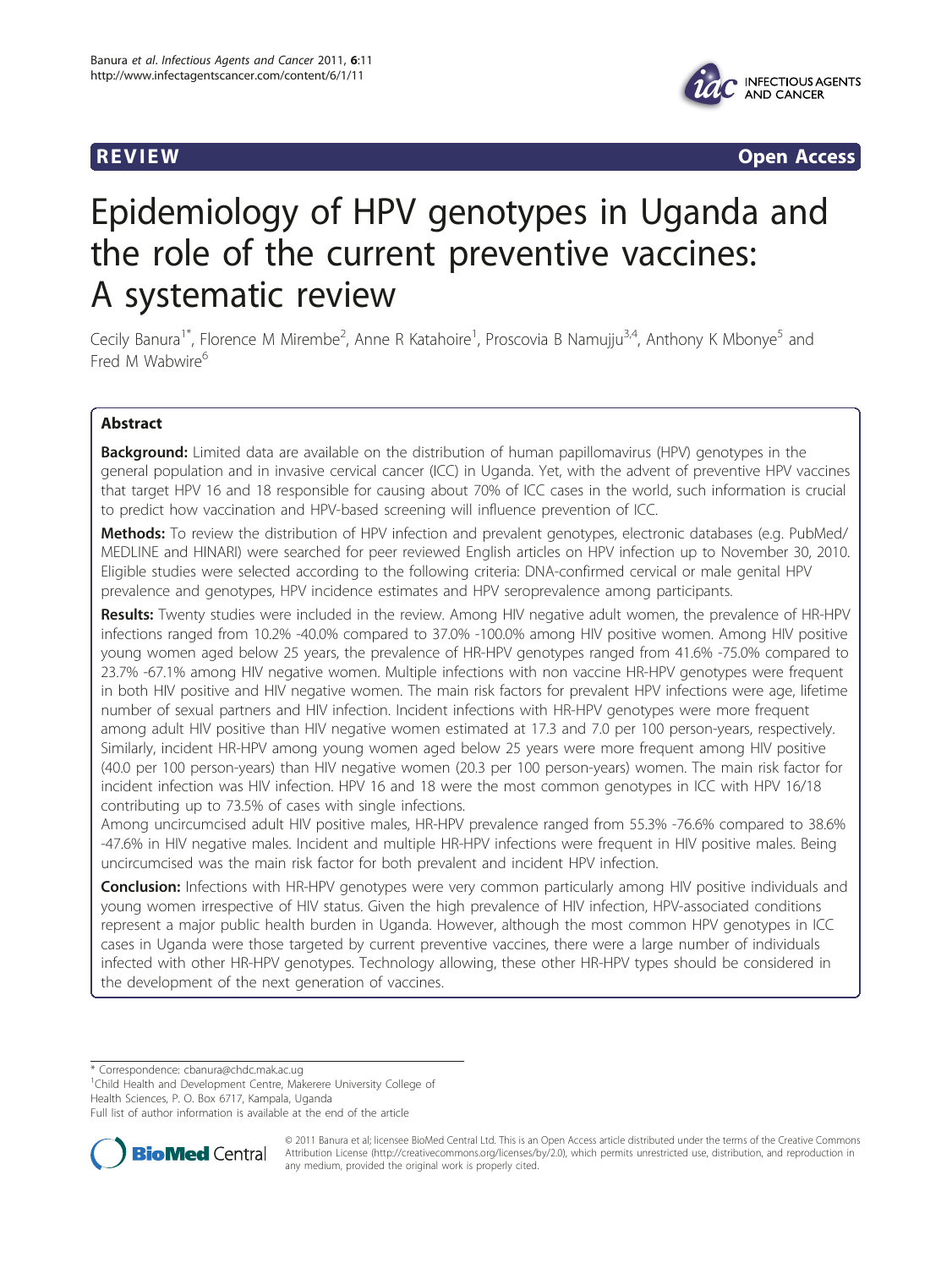



**REVIEW REVIEW** *REVIEW REVIEW REVIEW REVIEW REVIEW REVIEW REVIEW REVIEW REVIEW* 

# Epidemiology of HPV genotypes in Uganda and the role of the current preventive vaccines: A systematic review

Cecily Banura<sup>1\*</sup>, Florence M Mirembe<sup>2</sup>, Anne R Katahoire<sup>1</sup>, Proscovia B Namujju<sup>3,4</sup>, Anthony K Mbonye<sup>5</sup> and Fred M Wabwire<sup>6</sup>

# Abstract

**Background:** Limited data are available on the distribution of human papillomavirus (HPV) genotypes in the general population and in invasive cervical cancer (ICC) in Uganda. Yet, with the advent of preventive HPV vaccines that target HPV 16 and 18 responsible for causing about 70% of ICC cases in the world, such information is crucial to predict how vaccination and HPV-based screening will influence prevention of ICC.

Methods: To review the distribution of HPV infection and prevalent genotypes, electronic databases (e.g. PubMed/ MEDLINE and HINARI) were searched for peer reviewed English articles on HPV infection up to November 30, 2010. Eligible studies were selected according to the following criteria: DNA-confirmed cervical or male genital HPV prevalence and genotypes, HPV incidence estimates and HPV seroprevalence among participants.

Results: Twenty studies were included in the review. Among HIV negative adult women, the prevalence of HR-HPV infections ranged from 10.2% -40.0% compared to 37.0% -100.0% among HIV positive women. Among HIV positive young women aged below 25 years, the prevalence of HR-HPV genotypes ranged from 41.6% -75.0% compared to 23.7% -67.1% among HIV negative women. Multiple infections with non vaccine HR-HPV genotypes were frequent in both HIV positive and HIV negative women. The main risk factors for prevalent HPV infections were age, lifetime number of sexual partners and HIV infection. Incident infections with HR-HPV genotypes were more frequent among adult HIV positive than HIV negative women estimated at 17.3 and 7.0 per 100 person-years, respectively. Similarly, incident HR-HPV among young women aged below 25 years were more frequent among HIV positive (40.0 per 100 person-years) than HIV negative women (20.3 per 100 person-years) women. The main risk factor for incident infection was HIV infection. HPV 16 and 18 were the most common genotypes in ICC with HPV 16/18 contributing up to 73.5% of cases with single infections.

Among uncircumcised adult HIV positive males, HR-HPV prevalence ranged from 55.3% -76.6% compared to 38.6% -47.6% in HIV negative males. Incident and multiple HR-HPV infections were frequent in HIV positive males. Being uncircumcised was the main risk factor for both prevalent and incident HPV infection.

**Conclusion:** Infections with HR-HPV genotypes were very common particularly among HIV positive individuals and young women irrespective of HIV status. Given the high prevalence of HIV infection, HPV-associated conditions represent a major public health burden in Uganda. However, although the most common HPV genotypes in ICC cases in Uganda were those targeted by current preventive vaccines, there were a large number of individuals infected with other HR-HPV genotypes. Technology allowing, these other HR-HPV types should be considered in the development of the next generation of vaccines.

\* Correspondence: [cbanura@chdc.mak.ac.ug](mailto:cbanura@chdc.mak.ac.ug)

<sup>1</sup>Child Health and Development Centre, Makerere University College of

Health Sciences, P. O. Box 6717, Kampala, Uganda Full list of author information is available at the end of the article



© 2011 Banura et al; licensee BioMed Central Ltd. This is an Open Access article distributed under the terms of the Creative Commons Attribution License [\(http://creativecommons.org/licenses/by/2.0](http://creativecommons.org/licenses/by/2.0)), which permits unrestricted use, distribution, and reproduction in any medium, provided the original work is properly cited.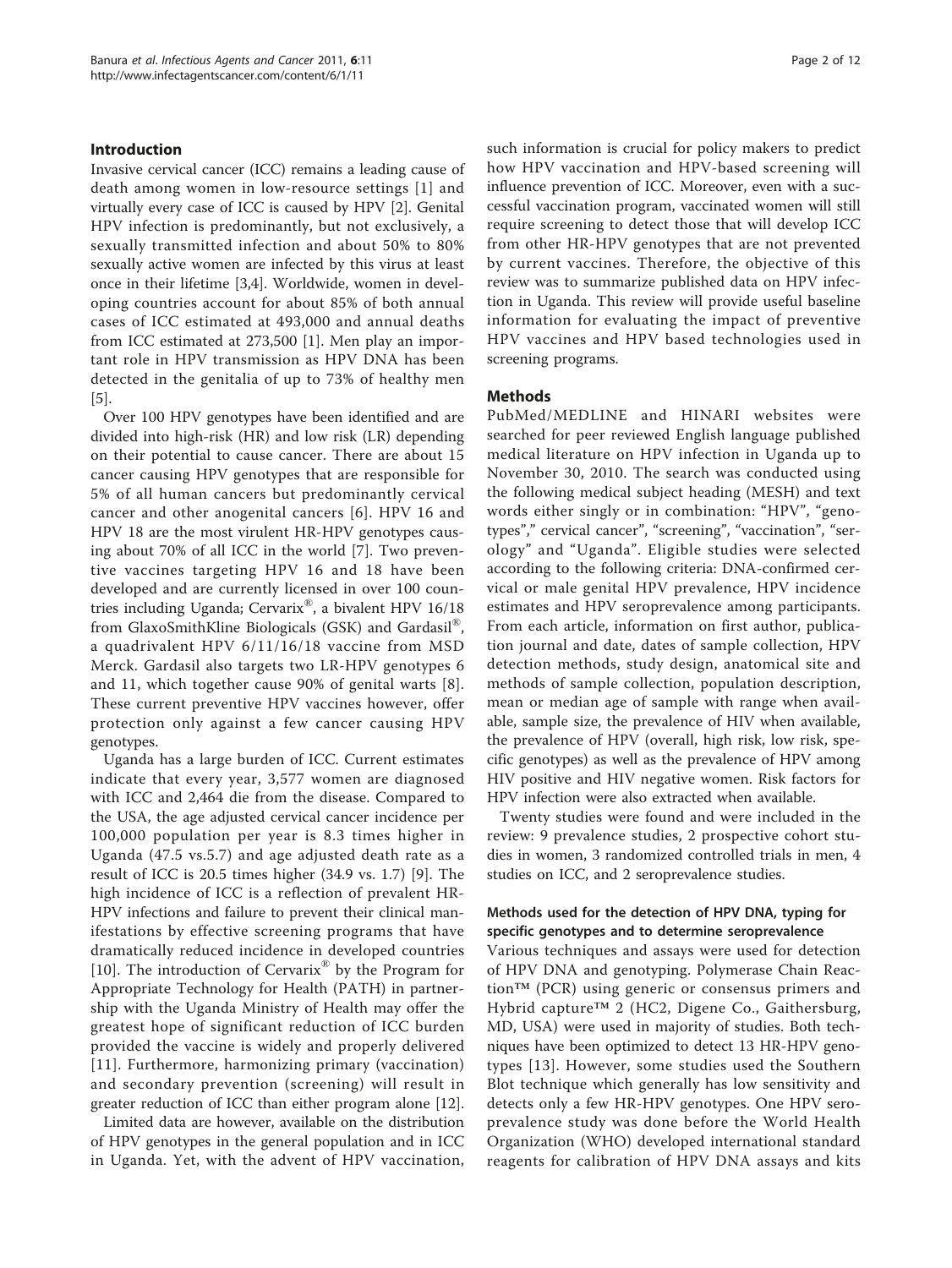## Introduction

Invasive cervical cancer (ICC) remains a leading cause of death among women in low-resource settings [[1](#page-9-0)] and virtually every case of ICC is caused by HPV [[2](#page-9-0)]. Genital HPV infection is predominantly, but not exclusively, a sexually transmitted infection and about 50% to 80% sexually active women are infected by this virus at least once in their lifetime [\[3,4\]](#page-9-0). Worldwide, women in developing countries account for about 85% of both annual cases of ICC estimated at 493,000 and annual deaths from ICC estimated at 273,500 [[1\]](#page-9-0). Men play an important role in HPV transmission as HPV DNA has been detected in the genitalia of up to 73% of healthy men [[5\]](#page-9-0).

Over 100 HPV genotypes have been identified and are divided into high-risk (HR) and low risk (LR) depending on their potential to cause cancer. There are about 15 cancer causing HPV genotypes that are responsible for 5% of all human cancers but predominantly cervical cancer and other anogenital cancers [[6](#page-9-0)]. HPV 16 and HPV 18 are the most virulent HR-HPV genotypes causing about 70% of all ICC in the world [\[7](#page-9-0)]. Two preventive vaccines targeting HPV 16 and 18 have been developed and are currently licensed in over 100 countries including Uganda; Cervarix®, a bivalent HPV 16/18 from GlaxoSmithKline Biologicals (GSK) and Gardasil®, a quadrivalent HPV 6/11/16/18 vaccine from MSD Merck. Gardasil also targets two LR-HPV genotypes 6 and 11, which together cause 90% of genital warts [[8](#page-9-0)]. These current preventive HPV vaccines however, offer protection only against a few cancer causing HPV genotypes.

Uganda has a large burden of ICC. Current estimates indicate that every year, 3,577 women are diagnosed with ICC and 2,464 die from the disease. Compared to the USA, the age adjusted cervical cancer incidence per 100,000 population per year is 8.3 times higher in Uganda (47.5 vs.5.7) and age adjusted death rate as a result of ICC is 20.5 times higher (34.9 vs. 1.7) [\[9](#page-9-0)]. The high incidence of ICC is a reflection of prevalent HR-HPV infections and failure to prevent their clinical manifestations by effective screening programs that have dramatically reduced incidence in developed countries [[10\]](#page-9-0). The introduction of Cervarix® by the Program for Appropriate Technology for Health (PATH) in partnership with the Uganda Ministry of Health may offer the greatest hope of significant reduction of ICC burden provided the vaccine is widely and properly delivered [[11](#page-9-0)]. Furthermore, harmonizing primary (vaccination) and secondary prevention (screening) will result in greater reduction of ICC than either program alone [[12](#page-9-0)].

Limited data are however, available on the distribution of HPV genotypes in the general population and in ICC in Uganda. Yet, with the advent of HPV vaccination,

such information is crucial for policy makers to predict how HPV vaccination and HPV-based screening will influence prevention of ICC. Moreover, even with a successful vaccination program, vaccinated women will still require screening to detect those that will develop ICC from other HR-HPV genotypes that are not prevented by current vaccines. Therefore, the objective of this review was to summarize published data on HPV infection in Uganda. This review will provide useful baseline information for evaluating the impact of preventive HPV vaccines and HPV based technologies used in screening programs.

## Methods

PubMed/MEDLINE and HINARI websites were searched for peer reviewed English language published medical literature on HPV infection in Uganda up to November 30, 2010. The search was conducted using the following medical subject heading (MESH) and text words either singly or in combination: "HPV", "genotypes"," cervical cancer", "screening", "vaccination", "serology" and "Uganda". Eligible studies were selected according to the following criteria: DNA-confirmed cervical or male genital HPV prevalence, HPV incidence estimates and HPV seroprevalence among participants. From each article, information on first author, publication journal and date, dates of sample collection, HPV detection methods, study design, anatomical site and methods of sample collection, population description, mean or median age of sample with range when available, sample size, the prevalence of HIV when available, the prevalence of HPV (overall, high risk, low risk, specific genotypes) as well as the prevalence of HPV among HIV positive and HIV negative women. Risk factors for HPV infection were also extracted when available.

Twenty studies were found and were included in the review: 9 prevalence studies, 2 prospective cohort studies in women, 3 randomized controlled trials in men, 4 studies on ICC, and 2 seroprevalence studies.

# Methods used for the detection of HPV DNA, typing for specific genotypes and to determine seroprevalence

Various techniques and assays were used for detection of HPV DNA and genotyping. Polymerase Chain Reaction™ (PCR) using generic or consensus primers and Hybrid capture™ 2 (HC2, Digene Co., Gaithersburg, MD, USA) were used in majority of studies. Both techniques have been optimized to detect 13 HR-HPV genotypes [[13\]](#page-9-0). However, some studies used the Southern Blot technique which generally has low sensitivity and detects only a few HR-HPV genotypes. One HPV seroprevalence study was done before the World Health Organization (WHO) developed international standard reagents for calibration of HPV DNA assays and kits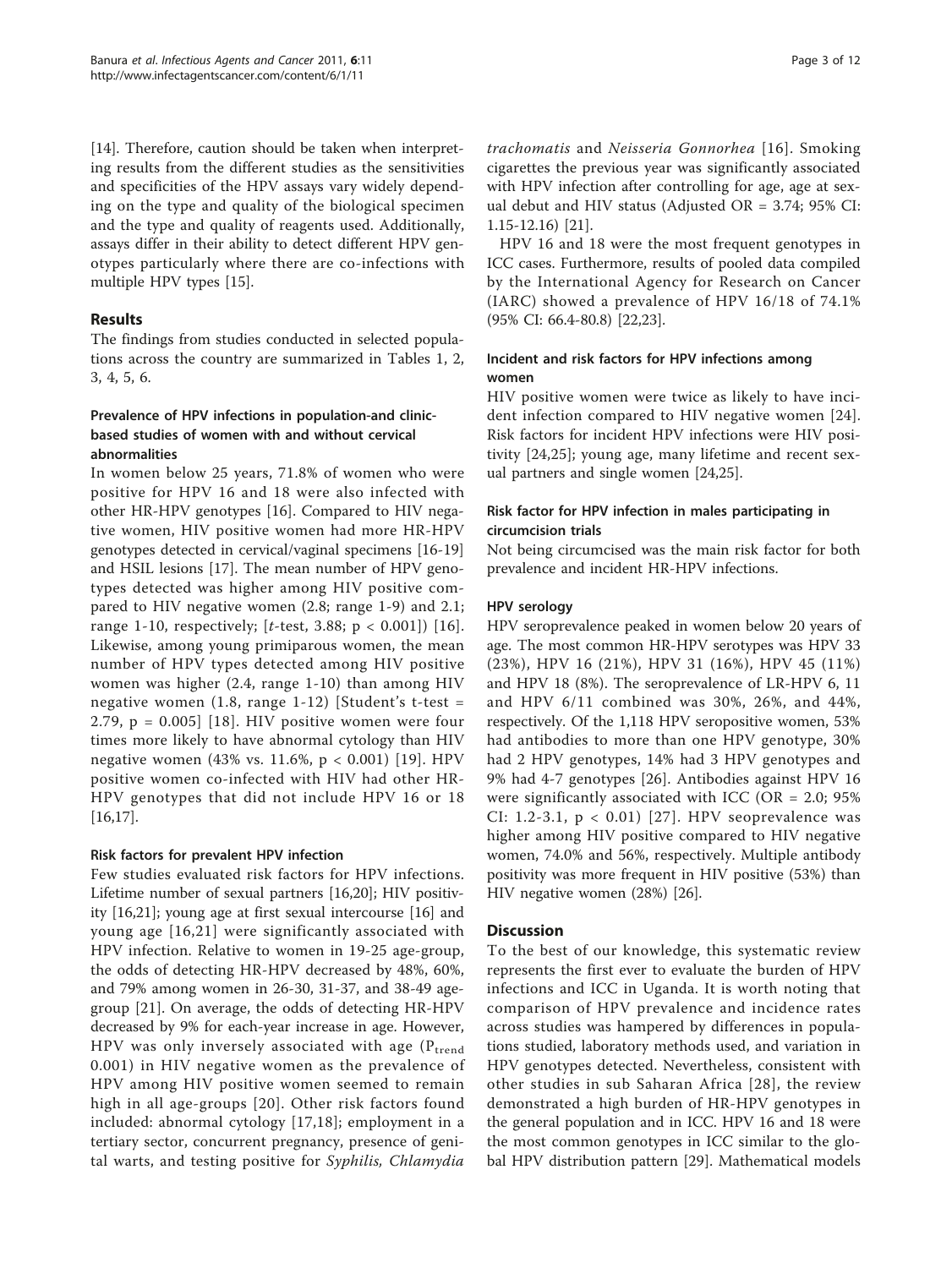[[14\]](#page-9-0). Therefore, caution should be taken when interpreting results from the different studies as the sensitivities and specificities of the HPV assays vary widely depending on the type and quality of the biological specimen and the type and quality of reagents used. Additionally, assays differ in their ability to detect different HPV genotypes particularly where there are co-infections with multiple HPV types [[15\]](#page-9-0).

# Results

The findings from studies conducted in selected populations across the country are summarized in Tables [1,](#page-3-0) [2](#page-5-0), [3,](#page-6-0) [4,](#page-7-0) [5](#page-8-0), [6](#page-9-0).

# Prevalence of HPV infections in population-and clinicbased studies of women with and without cervical abnormalities

In women below 25 years, 71.8% of women who were positive for HPV 16 and 18 were also infected with other HR-HPV genotypes [[16\]](#page-9-0). Compared to HIV negative women, HIV positive women had more HR-HPV genotypes detected in cervical/vaginal specimens [\[16-](#page-9-0)[19](#page-10-0)] and HSIL lesions [[17\]](#page-9-0). The mean number of HPV genotypes detected was higher among HIV positive compared to HIV negative women (2.8; range 1-9) and 2.1; range 1-10, respectively; [t-test, 3.88;  $p < 0.001$ ]) [[16](#page-9-0)]. Likewise, among young primiparous women, the mean number of HPV types detected among HIV positive women was higher (2.4, range 1-10) than among HIV negative women  $(1.8, \text{ range } 1-12)$  [Student's t-test = 2.79,  $p = 0.005$ ] [[18](#page-10-0)]. HIV positive women were four times more likely to have abnormal cytology than HIV negative women (43% vs. 11.6%, p < 0.001) [[19\]](#page-10-0). HPV positive women co-infected with HIV had other HR-HPV genotypes that did not include HPV 16 or 18 [[16,17\]](#page-9-0).

# Risk factors for prevalent HPV infection

Few studies evaluated risk factors for HPV infections. Lifetime number of sexual partners [[16,](#page-9-0)[20\]](#page-10-0); HIV positivity [\[16](#page-9-0)[,21\]](#page-10-0); young age at first sexual intercourse [\[16](#page-9-0)] and young age [[16,](#page-9-0)[21\]](#page-10-0) were significantly associated with HPV infection. Relative to women in 19-25 age-group, the odds of detecting HR-HPV decreased by 48%, 60%, and 79% among women in 26-30, 31-37, and 38-49 agegroup [[21\]](#page-10-0). On average, the odds of detecting HR-HPV decreased by 9% for each-year increase in age. However, HPV was only inversely associated with age  $(P_{trend})$ 0.001) in HIV negative women as the prevalence of HPV among HIV positive women seemed to remain high in all age-groups [[20](#page-10-0)]. Other risk factors found included: abnormal cytology [[17,](#page-9-0)[18](#page-10-0)]; employment in a tertiary sector, concurrent pregnancy, presence of genital warts, and testing positive for Syphilis, Chlamydia trachomatis and Neisseria Gonnorhea [[16\]](#page-9-0). Smoking cigarettes the previous year was significantly associated with HPV infection after controlling for age, age at sexual debut and HIV status (Adjusted OR = 3.74; 95% CI: 1.15-12.16) [\[21](#page-10-0)].

HPV 16 and 18 were the most frequent genotypes in ICC cases. Furthermore, results of pooled data compiled by the International Agency for Research on Cancer (IARC) showed a prevalence of HPV 16/18 of 74.1% (95% CI: 66.4-80.8) [[22](#page-10-0),[23](#page-10-0)].

# Incident and risk factors for HPV infections among women

HIV positive women were twice as likely to have incident infection compared to HIV negative women [[24](#page-10-0)]. Risk factors for incident HPV infections were HIV positivity [\[24](#page-10-0),[25\]](#page-10-0); young age, many lifetime and recent sexual partners and single women [[24,25\]](#page-10-0).

# Risk factor for HPV infection in males participating in circumcision trials

Not being circumcised was the main risk factor for both prevalence and incident HR-HPV infections.

# HPV serology

HPV seroprevalence peaked in women below 20 years of age. The most common HR-HPV serotypes was HPV 33 (23%), HPV 16 (21%), HPV 31 (16%), HPV 45 (11%) and HPV 18 (8%). The seroprevalence of LR-HPV 6, 11 and HPV 6/11 combined was 30%, 26%, and 44%, respectively. Of the 1,118 HPV seropositive women, 53% had antibodies to more than one HPV genotype, 30% had 2 HPV genotypes, 14% had 3 HPV genotypes and 9% had 4-7 genotypes [\[26](#page-10-0)]. Antibodies against HPV 16 were significantly associated with ICC (OR = 2.0; 95% CI: 1.2-3.1, p < 0.01) [[27](#page-10-0)]. HPV seoprevalence was higher among HIV positive compared to HIV negative women, 74.0% and 56%, respectively. Multiple antibody positivity was more frequent in HIV positive (53%) than HIV negative women (28%) [\[26](#page-10-0)].

# **Discussion**

To the best of our knowledge, this systematic review represents the first ever to evaluate the burden of HPV infections and ICC in Uganda. It is worth noting that comparison of HPV prevalence and incidence rates across studies was hampered by differences in populations studied, laboratory methods used, and variation in HPV genotypes detected. Nevertheless, consistent with other studies in sub Saharan Africa [[28\]](#page-10-0), the review demonstrated a high burden of HR-HPV genotypes in the general population and in ICC. HPV 16 and 18 were the most common genotypes in ICC similar to the global HPV distribution pattern [[29\]](#page-10-0). Mathematical models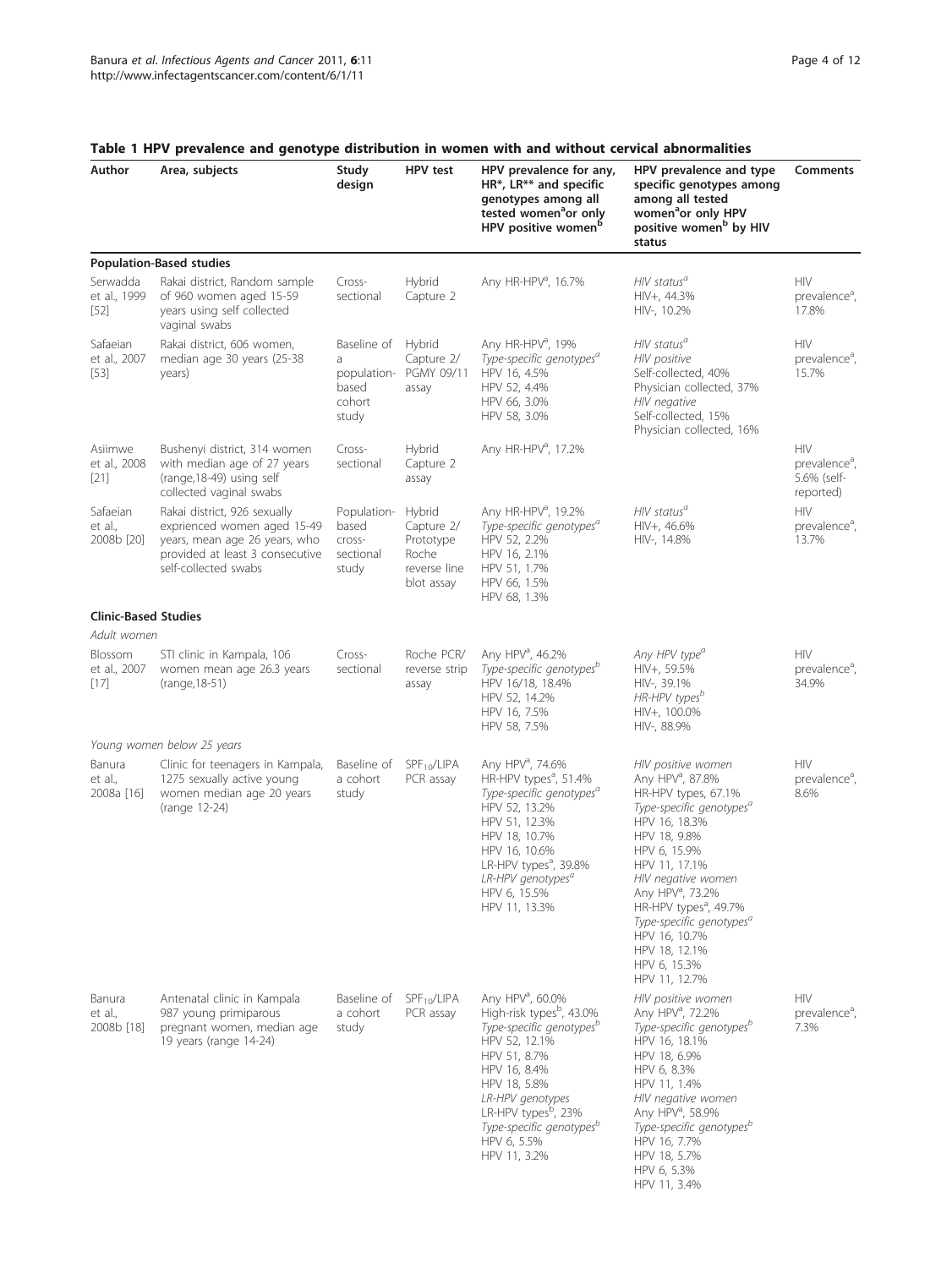| Author                             | Area, subjects                                                                                                                                          | Study<br>design                                             | <b>HPV</b> test                                                          | HPV prevalence for any,<br>HR*, LR** and specific<br>genotypes among all<br>tested women <sup>a</sup> or only<br>HPV positive women <sup>b</sup>                                                                                                                                                            | HPV prevalence and type<br>specific genotypes among<br>among all tested<br>women <sup>a</sup> or only HPV<br>positive women <sup>b</sup> by HIV<br>status                                                                                                                                                                                                                                 | <b>Comments</b>                                              |
|------------------------------------|---------------------------------------------------------------------------------------------------------------------------------------------------------|-------------------------------------------------------------|--------------------------------------------------------------------------|-------------------------------------------------------------------------------------------------------------------------------------------------------------------------------------------------------------------------------------------------------------------------------------------------------------|-------------------------------------------------------------------------------------------------------------------------------------------------------------------------------------------------------------------------------------------------------------------------------------------------------------------------------------------------------------------------------------------|--------------------------------------------------------------|
|                                    | <b>Population-Based studies</b>                                                                                                                         |                                                             |                                                                          |                                                                                                                                                                                                                                                                                                             |                                                                                                                                                                                                                                                                                                                                                                                           |                                                              |
| Serwadda<br>et al., 1999<br>$[52]$ | Rakai district, Random sample<br>of 960 women aged 15-59<br>years using self collected<br>vaginal swabs                                                 | Cross-<br>sectional                                         | Hybrid<br>Capture 2                                                      | Any HR-HPV <sup>a</sup> , 16.7%                                                                                                                                                                                                                                                                             | $HIV$ status <sup>a</sup><br>HIV+, 44.3%<br>HIV-, 10.2%                                                                                                                                                                                                                                                                                                                                   | <b>HIV</b><br>prevalence <sup>a</sup> ,<br>17.8%             |
| Safaeian<br>et al., 2007<br>$[53]$ | Rakai district, 606 women,<br>median age 30 years (25-38<br>years)                                                                                      | Baseline of<br>a<br>population-<br>based<br>cohort<br>study | Hybrid<br>Capture 2/<br>PGMY 09/11<br>assay                              | Any HR-HPV <sup>a</sup> , 19%<br>Type-specific genotypes <sup>a</sup><br>HPV 16, 4.5%<br>HPV 52, 4.4%<br>HPV 66, 3.0%<br>HPV 58, 3.0%                                                                                                                                                                       | $HIV$ status $^{\alpha}$<br>HIV positive<br>Self-collected, 40%<br>Physician collected, 37%<br>HIV negative<br>Self-collected, 15%<br>Physician collected, 16%                                                                                                                                                                                                                            | HIV<br>prevalence <sup>a</sup> ,<br>15.7%                    |
| Asiimwe<br>et al., 2008<br>$[21]$  | Bushenyi district, 314 women<br>with median age of 27 years<br>(range, 18-49) using self<br>collected vaginal swabs                                     | Cross-<br>sectional                                         | Hybrid<br>Capture 2<br>assay                                             | Any HR-HPV <sup>a</sup> , 17.2%                                                                                                                                                                                                                                                                             |                                                                                                                                                                                                                                                                                                                                                                                           | HIV<br>prevalence <sup>d</sup> ,<br>5.6% (self-<br>reported) |
| Safaeian<br>et al.,<br>2008b [20]  | Rakai district, 926 sexually<br>exprienced women aged 15-49<br>years, mean age 26 years, who<br>provided at least 3 consecutive<br>self-collected swabs | Population-<br>based<br>cross-<br>sectional<br>study        | Hybrid<br>Capture 2/<br>Prototype<br>Roche<br>reverse line<br>blot assay | Any HR-HPV <sup>d</sup> , 19.2%<br>Type-specific genotypes <sup>a</sup><br>HPV 52, 2.2%<br>HPV 16, 2.1%<br>HPV 51, 1.7%<br>HPV 66, 1.5%<br>HPV 68, 1.3%                                                                                                                                                     | $HIV$ status $^{\prime\prime}$<br>HIV+, 46.6%<br>HIV-, 14.8%                                                                                                                                                                                                                                                                                                                              | <b>HIV</b><br>prevalence <sup>a</sup> ,<br>13.7%             |
| <b>Clinic-Based Studies</b>        |                                                                                                                                                         |                                                             |                                                                          |                                                                                                                                                                                                                                                                                                             |                                                                                                                                                                                                                                                                                                                                                                                           |                                                              |
| Adult women                        |                                                                                                                                                         |                                                             |                                                                          |                                                                                                                                                                                                                                                                                                             |                                                                                                                                                                                                                                                                                                                                                                                           |                                                              |
| Blossom<br>et al., 2007<br>$[17]$  | STI clinic in Kampala, 106<br>women mean age 26.3 years<br>(range, 18-51)                                                                               | Cross-<br>sectional                                         | Roche PCR/<br>reverse strip<br>assay                                     | Any HPV <sup>a</sup> , 46.2%<br>Type-specific genotypes <sup>b</sup><br>HPV 16/18, 18.4%<br>HPV 52, 14.2%<br>HPV 16, 7.5%<br>HPV 58, 7.5%                                                                                                                                                                   | Any HPV type <sup>a</sup><br>HIV+, 59.5%<br>HIV-, 39.1%<br>HR-HPV types <sup>b</sup><br>HIV+, 100.0%<br>HIV-, 88.9%                                                                                                                                                                                                                                                                       | <b>HIV</b><br>prevalence <sup>d</sup> ,<br>34.9%             |
|                                    | Young women below 25 years                                                                                                                              |                                                             |                                                                          |                                                                                                                                                                                                                                                                                                             |                                                                                                                                                                                                                                                                                                                                                                                           |                                                              |
| Banura<br>et al.,<br>2008a [16]    | Clinic for teenagers in Kampala,<br>1275 sexually active young<br>women median age 20 years<br>(range 12-24)                                            | Baseline of<br>a cohort<br>study                            | $SPF_{10}/LIPA$<br>PCR assay                                             | Any HPV <sup>ª</sup> , 74.6%<br>HR-HPV types <sup>a</sup> , 51.4%<br>Type-specific genotypes <sup>a</sup><br>HPV 52, 13.2%<br>HPV 51, 12.3%<br>HPV 18, 10.7%<br>HPV 16, 10.6%<br>LR-HPV types <sup>a</sup> , 39.8%<br>LR-HPV genotypes <sup>a</sup><br>HPV 6, 15.5%<br>HPV 11, 13.3%                        | HIV positive women<br>Any HPV <sup>a</sup> , 87.8%<br>HR-HPV types, 67.1%<br>Type-specific genotypes <sup>a</sup><br>HPV 16, 18.3%<br>HPV 18, 9.8%<br>HPV 6, 15.9%<br>HPV 11, 17.1%<br>HIV negative women<br>Any HPV <sup>a</sup> , 73.2%<br>HR-HPV types <sup>a</sup> , 49.7%<br>Type-specific genotypes <sup>a</sup><br>HPV 16, 10.7%<br>HPV 18, 12.1%<br>HPV 6, 15.3%<br>HPV 11, 12.7% | HIV<br>prevalence <sup>d</sup> ,<br>8.6%                     |
| Banura<br>et al.,<br>2008b [18]    | Antenatal clinic in Kampala<br>987 young primiparous<br>pregnant women, median age<br>19 years (range 14-24)                                            | Baseline of<br>a cohort<br>study                            | $SPF_{10}/LIPA$<br>PCR assay                                             | Any HPV <sup>a</sup> , 60.0%<br>High-risk types <sup>b</sup> , 43.0%<br>Type-specific genotypes <sup>b</sup><br>HPV 52, 12.1%<br>HPV 51, 8.7%<br>HPV 16, 8.4%<br>HPV 18, 5.8%<br>LR-HPV genotypes<br>LR-HPV types <sup>b</sup> , 23%<br>Type-specific genotypes <sup>o</sup><br>HPV 6, 5.5%<br>HPV 11, 3.2% | HIV positive women<br>Any HPV <sup>a</sup> , 72.2%<br>Type-specific genotypes <sup>b</sup><br>HPV 16, 18.1%<br>HPV 18, 6.9%<br>HPV 6, 8.3%<br>HPV 11, 1.4%<br>HIV negative women<br>Any HPV <sup>a</sup> , 58.9%<br>Type-specific genotypes <sup>b</sup><br>HPV 16, 7.7%<br>HPV 18, 5.7%<br>HPV 6, 5.3%<br>HPV 11, 3.4%                                                                   | <b>HIV</b><br>prevalence <sup>a</sup> ,<br>7.3%              |

# <span id="page-3-0"></span>Table 1 HPV prevalence and genotype distribution in women with and without cervical abnormalities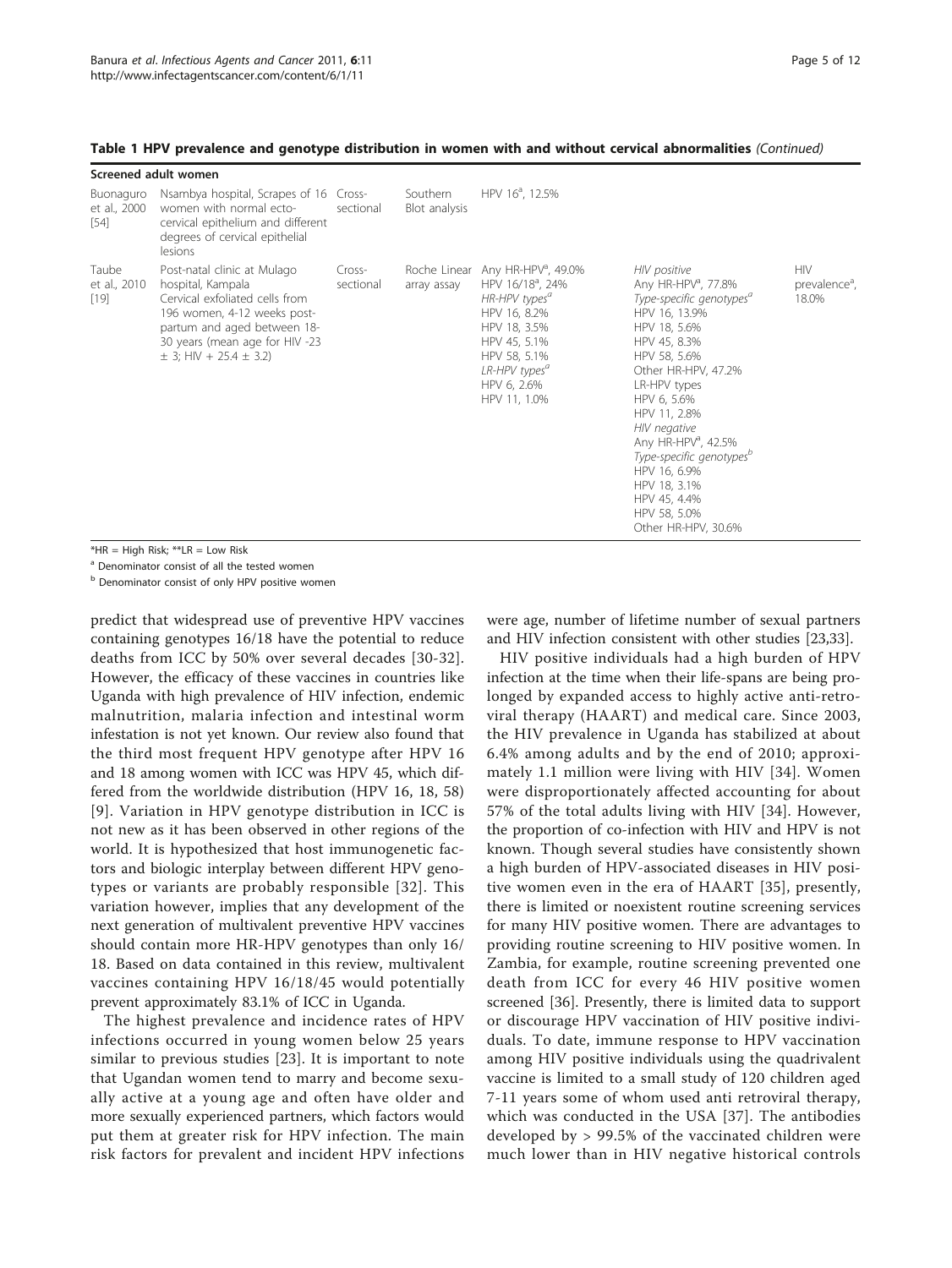|                                     | Screened adult women                                                                                                                                                                                                 |                     |                             |                                                                                                                                                                                                                          |                                                                                                                                                                                                                                                                                                                                                                           |                                                  |
|-------------------------------------|----------------------------------------------------------------------------------------------------------------------------------------------------------------------------------------------------------------------|---------------------|-----------------------------|--------------------------------------------------------------------------------------------------------------------------------------------------------------------------------------------------------------------------|---------------------------------------------------------------------------------------------------------------------------------------------------------------------------------------------------------------------------------------------------------------------------------------------------------------------------------------------------------------------------|--------------------------------------------------|
| Buonaguro<br>et al., 2000<br>$[54]$ | Nsambya hospital, Scrapes of 16 Cross-<br>women with normal ecto-<br>cervical epithelium and different<br>degrees of cervical epithelial<br>lesions                                                                  | sectional           | Southern<br>Blot analysis   | HPV 16 <sup>ª</sup> , 12.5%                                                                                                                                                                                              |                                                                                                                                                                                                                                                                                                                                                                           |                                                  |
| Taube<br>et al., 2010<br>$[19]$     | Post-natal clinic at Mulago<br>hospital, Kampala<br>Cervical exfoliated cells from<br>196 women, 4-12 weeks post-<br>partum and aged between 18-<br>30 years (mean age for HIV -23<br>$\pm$ 3; HIV + 25.4 $\pm$ 3.2) | Cross-<br>sectional | Roche Linear<br>array assay | Any HR-HPV <sup>a</sup> , 49.0%<br>HPV 16/18 <sup>a</sup> , 24%<br>HR-HPV types <sup>a</sup><br>HPV 16, 8.2%<br>HPV 18, 3.5%<br>HPV 45, 5.1%<br>HPV 58, 5.1%<br>LR-HPV types <sup>a</sup><br>HPV 6, 2.6%<br>HPV 11, 1.0% | HIV positive<br>Any HR-HPV <sup>a</sup> , 77.8%<br>Type-specific genotypes <sup>a</sup><br>HPV 16, 13.9%<br>HPV 18, 5.6%<br>HPV 45, 8.3%<br>HPV 58, 5.6%<br>Other HR-HPV, 47.2%<br>LR-HPV types<br>HPV 6, 5.6%<br>HPV 11, 2.8%<br>HIV negative<br>Any HR-HPV <sup>a</sup> , 42.5%<br>Type-specific genotypes <sup>o</sup><br>HPV 16, 6.9%<br>HPV 18, 3.1%<br>HPV 45, 4.4% | <b>HIV</b><br>prevalence <sup>a</sup> ,<br>18.0% |

Table 1 HPV prevalence and genotype distribution in women with and without cervical abnormalities (Continued)

 $*HR = High Risk; **LR = Low Risk$ 

<sup>a</sup> Denominator consist of all the tested women

b Denominator consist of only HPV positive women

predict that widespread use of preventive HPV vaccines containing genotypes 16/18 have the potential to reduce deaths from ICC by 50% over several decades [[30](#page-10-0)-[32](#page-10-0)]. However, the efficacy of these vaccines in countries like Uganda with high prevalence of HIV infection, endemic malnutrition, malaria infection and intestinal worm infestation is not yet known. Our review also found that the third most frequent HPV genotype after HPV 16 and 18 among women with ICC was HPV 45, which differed from the worldwide distribution (HPV 16, 18, 58) [[9](#page-9-0)]. Variation in HPV genotype distribution in ICC is not new as it has been observed in other regions of the world. It is hypothesized that host immunogenetic factors and biologic interplay between different HPV genotypes or variants are probably responsible [[32\]](#page-10-0). This variation however, implies that any development of the next generation of multivalent preventive HPV vaccines should contain more HR-HPV genotypes than only 16/ 18. Based on data contained in this review, multivalent vaccines containing HPV 16/18/45 would potentially prevent approximately 83.1% of ICC in Uganda.

The highest prevalence and incidence rates of HPV infections occurred in young women below 25 years similar to previous studies [\[23\]](#page-10-0). It is important to note that Ugandan women tend to marry and become sexually active at a young age and often have older and more sexually experienced partners, which factors would put them at greater risk for HPV infection. The main risk factors for prevalent and incident HPV infections were age, number of lifetime number of sexual partners and HIV infection consistent with other studies [\[23,33\]](#page-10-0).

HPV 58, 5.0% Other HR-HPV, 30.6%

HIV positive individuals had a high burden of HPV infection at the time when their life-spans are being prolonged by expanded access to highly active anti-retroviral therapy (HAART) and medical care. Since 2003, the HIV prevalence in Uganda has stabilized at about 6.4% among adults and by the end of 2010; approximately 1.1 million were living with HIV [[34](#page-10-0)]. Women were disproportionately affected accounting for about 57% of the total adults living with HIV [[34\]](#page-10-0). However, the proportion of co-infection with HIV and HPV is not known. Though several studies have consistently shown a high burden of HPV-associated diseases in HIV positive women even in the era of HAART [[35\]](#page-10-0), presently, there is limited or noexistent routine screening services for many HIV positive women. There are advantages to providing routine screening to HIV positive women. In Zambia, for example, routine screening prevented one death from ICC for every 46 HIV positive women screened [\[36\]](#page-10-0). Presently, there is limited data to support or discourage HPV vaccination of HIV positive individuals. To date, immune response to HPV vaccination among HIV positive individuals using the quadrivalent vaccine is limited to a small study of 120 children aged 7-11 years some of whom used anti retroviral therapy, which was conducted in the USA [[37\]](#page-10-0). The antibodies developed by > 99.5% of the vaccinated children were much lower than in HIV negative historical controls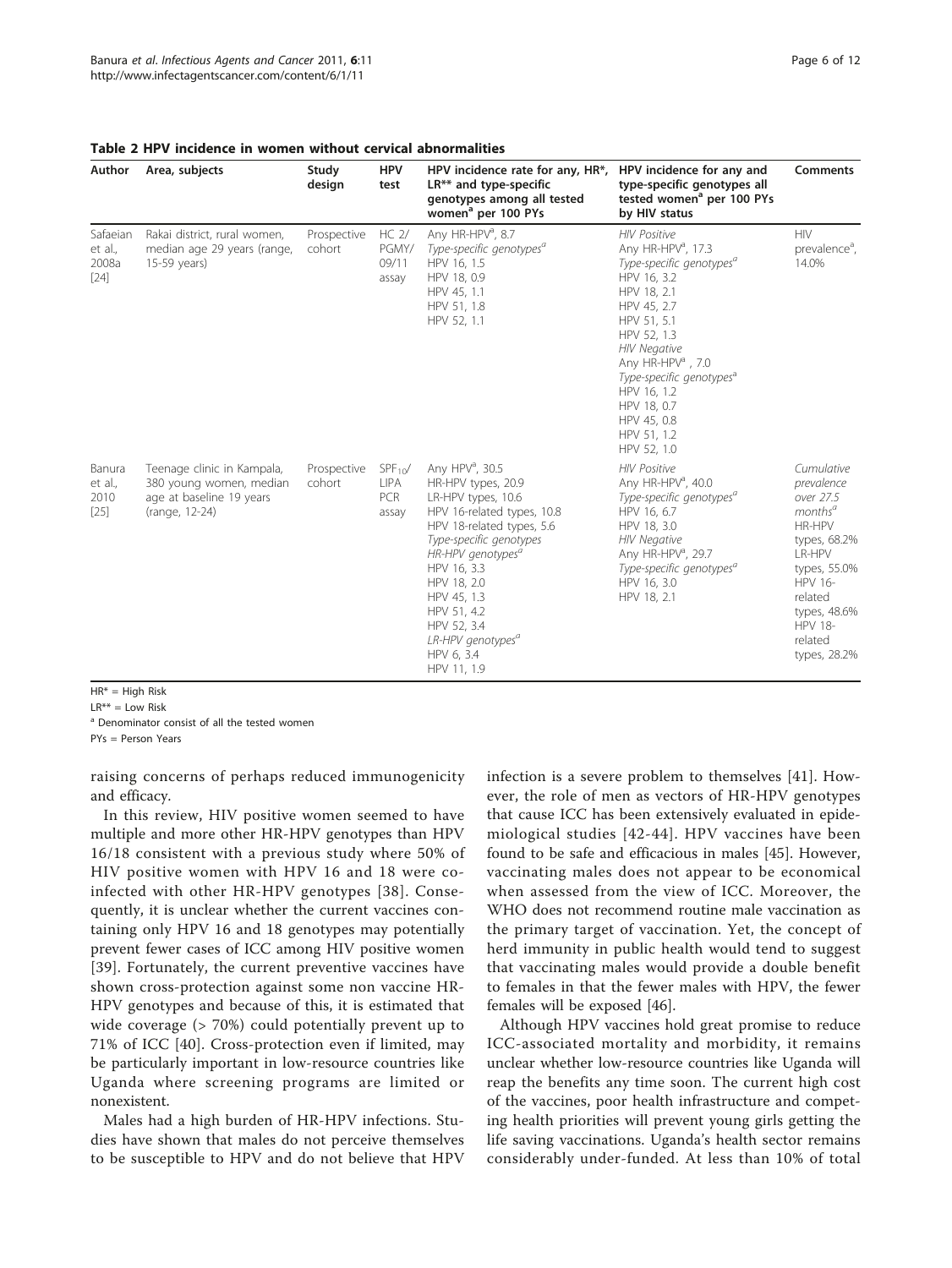| Author                                 | Area, subjects                                                                                      | Study<br>design       | <b>HPV</b><br>test                                | HPV incidence rate for any, HR*,<br>$LR**$ and type-specific<br>genotypes among all tested<br>women <sup>a</sup> per 100 PYs                                                                                                                                                                                                            | HPV incidence for any and<br>type-specific genotypes all<br>tested women <sup>a</sup> per 100 PYs<br>by HIV status                                                                                                                                                                                                                                  | Comments                                                                                                                                                                                                   |
|----------------------------------------|-----------------------------------------------------------------------------------------------------|-----------------------|---------------------------------------------------|-----------------------------------------------------------------------------------------------------------------------------------------------------------------------------------------------------------------------------------------------------------------------------------------------------------------------------------------|-----------------------------------------------------------------------------------------------------------------------------------------------------------------------------------------------------------------------------------------------------------------------------------------------------------------------------------------------------|------------------------------------------------------------------------------------------------------------------------------------------------------------------------------------------------------------|
| Safaeian<br>et al.,<br>2008a<br>$[24]$ | Rakai district, rural women,<br>median age 29 years (range,<br>15-59 years)                         | Prospective<br>cohort | $HC2$ /<br>PGMY/<br>09/11<br>assay                | Any HR-HPV <sup>a</sup> , 8.7<br>Type-specific genotypes <sup>a</sup><br>HPV 16, 1.5<br>HPV 18, 0.9<br>HPV 45, 1.1<br>HPV 51, 1.8<br>HPV 52, 1.1                                                                                                                                                                                        | <b>HIV Positive</b><br>Any HR-HPV <sup>a</sup> , 17.3<br>Type-specific genotypes <sup>a</sup><br>HPV 16, 3.2<br>HPV 18, 2.1<br>HPV 45, 2.7<br>HPV 51, 5.1<br>HPV 52, 1.3<br><b>HIV Negative</b><br>Any HR-HPV <sup>a</sup> , 7.0<br>Type-specific genotypes <sup>a</sup><br>HPV 16, 1.2<br>HPV 18, 0.7<br>HPV 45, 0.8<br>HPV 51, 1.2<br>HPV 52, 1.0 | <b>HIV</b><br>prevalence <sup>a</sup> ,<br>14.0%                                                                                                                                                           |
| Banura<br>et al.,<br>2010<br>$[25]$    | Teenage clinic in Kampala,<br>380 young women, median<br>age at baseline 19 years<br>(range, 12-24) | Prospective<br>cohort | $SPF_{10}/$<br><b>LIPA</b><br><b>PCR</b><br>assay | Any HPV <sup>a</sup> , 30.5<br>HR-HPV types, 20.9<br>LR-HPV types, 10.6<br>HPV 16-related types, 10.8<br>HPV 18-related types, 5.6<br>Type-specific genotypes<br>HR-HPV genotypes <sup>a</sup><br>HPV 16, 3.3<br>HPV 18, 2.0<br>HPV 45, 1.3<br>HPV 51, 4.2<br>HPV 52, 3.4<br>LR-HPV genotypes <sup>a</sup><br>HPV 6, 3.4<br>HPV 11, 1.9 | <b>HIV Positive</b><br>Any HR-HPV <sup>a</sup> , 40.0<br>Type-specific genotypes <sup>a</sup><br>HPV 16, 6.7<br>HPV 18, 3.0<br><b>HIV Negative</b><br>Any HR-HPV <sup>a</sup> , 29.7<br>Type-specific genotypes <sup>a</sup><br>HPV 16, 3.0<br>HPV 18, 2.1                                                                                          | Cumulative<br>prevalence<br>over 27.5<br>months <sup>a</sup><br>HR-HPV<br>types, 68.2%<br>LR-HPV<br>types, 55.0%<br><b>HPV 16-</b><br>related<br>types, 48.6%<br><b>HPV 18-</b><br>related<br>types, 28.2% |

<span id="page-5-0"></span>

|  | Table 2 HPV incidence in women without cervical abnormalities |
|--|---------------------------------------------------------------|
|--|---------------------------------------------------------------|

 $HR* = High Risk$ 

 $IR^{**} = low Risk$ 

<sup>a</sup> Denominator consist of all the tested women

PYs = Person Years

raising concerns of perhaps reduced immunogenicity and efficacy.

In this review, HIV positive women seemed to have multiple and more other HR-HPV genotypes than HPV 16/18 consistent with a previous study where 50% of HIV positive women with HPV 16 and 18 were coinfected with other HR-HPV genotypes [[38](#page-10-0)]. Consequently, it is unclear whether the current vaccines containing only HPV 16 and 18 genotypes may potentially prevent fewer cases of ICC among HIV positive women [[39](#page-10-0)]. Fortunately, the current preventive vaccines have shown cross-protection against some non vaccine HR-HPV genotypes and because of this, it is estimated that wide coverage (> 70%) could potentially prevent up to 71% of ICC [[40\]](#page-10-0). Cross-protection even if limited, may be particularly important in low-resource countries like Uganda where screening programs are limited or nonexistent.

Males had a high burden of HR-HPV infections. Studies have shown that males do not perceive themselves to be susceptible to HPV and do not believe that HPV infection is a severe problem to themselves [[41](#page-10-0)]. However, the role of men as vectors of HR-HPV genotypes that cause ICC has been extensively evaluated in epidemiological studies [[42-44\]](#page-10-0). HPV vaccines have been found to be safe and efficacious in males [\[45](#page-10-0)]. However, vaccinating males does not appear to be economical when assessed from the view of ICC. Moreover, the WHO does not recommend routine male vaccination as the primary target of vaccination. Yet, the concept of herd immunity in public health would tend to suggest that vaccinating males would provide a double benefit to females in that the fewer males with HPV, the fewer females will be exposed [[46\]](#page-10-0).

Although HPV vaccines hold great promise to reduce ICC-associated mortality and morbidity, it remains unclear whether low-resource countries like Uganda will reap the benefits any time soon. The current high cost of the vaccines, poor health infrastructure and competing health priorities will prevent young girls getting the life saving vaccinations. Uganda's health sector remains considerably under-funded. At less than 10% of total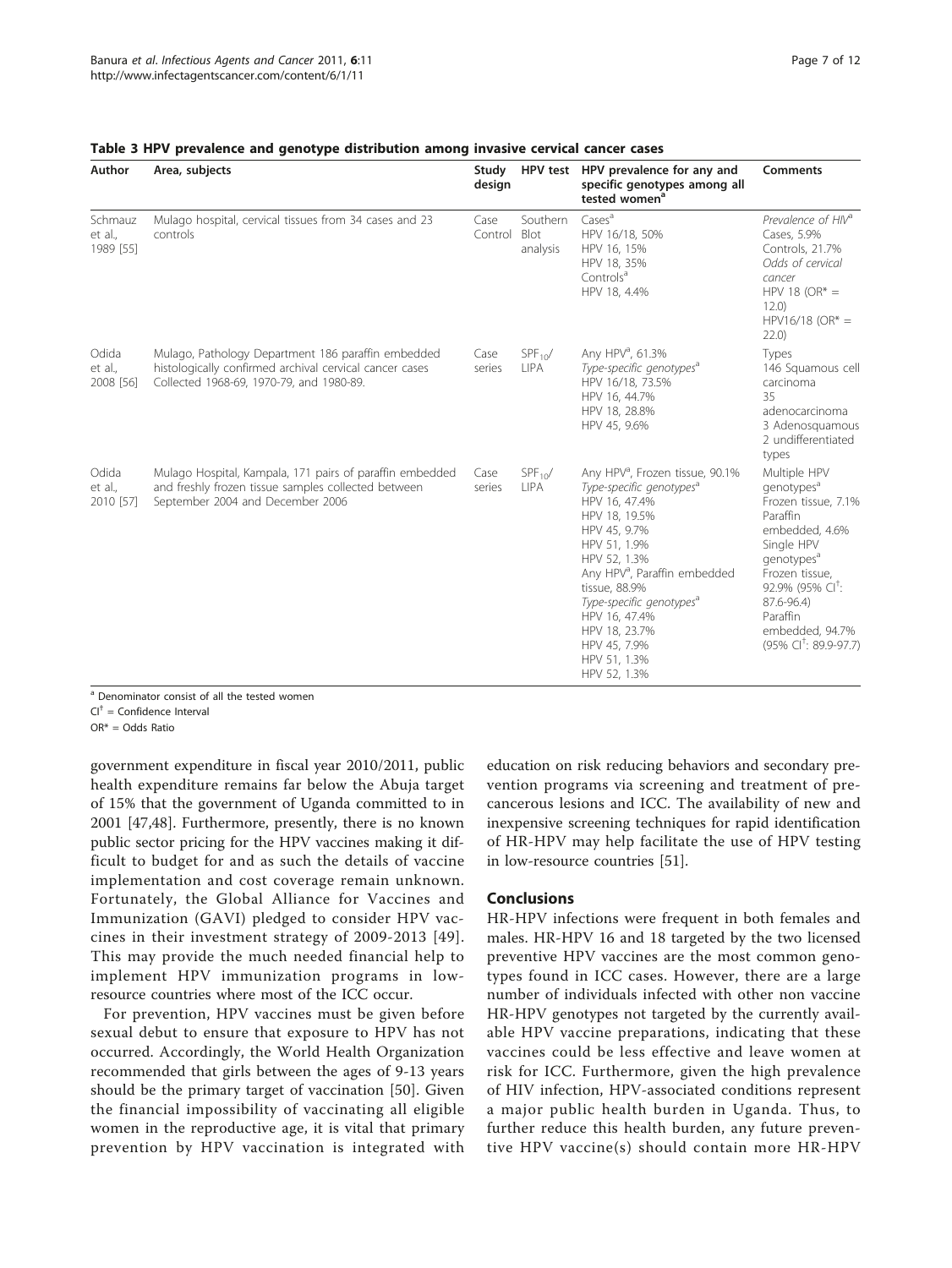| Author                          | Area, subjects                                                                                                                                            | Study<br>design | <b>HPV</b> test              | HPV prevalence for any and<br>specific genotypes among all<br>tested women <sup>a</sup>                                                                                                                                                                                                                                                                      | <b>Comments</b>                                                                                                                                                                                                                                                         |
|---------------------------------|-----------------------------------------------------------------------------------------------------------------------------------------------------------|-----------------|------------------------------|--------------------------------------------------------------------------------------------------------------------------------------------------------------------------------------------------------------------------------------------------------------------------------------------------------------------------------------------------------------|-------------------------------------------------------------------------------------------------------------------------------------------------------------------------------------------------------------------------------------------------------------------------|
| Schmauz<br>et al.,<br>1989 [55] | Mulago hospital, cervical tissues from 34 cases and 23<br>controls                                                                                        | Case<br>Control | Southern<br>Blot<br>analysis | Cases <sup>a</sup><br>HPV 16/18, 50%<br>HPV 16, 15%<br>HPV 18, 35%<br>Controls <sup>a</sup><br>HPV 18, 4.4%                                                                                                                                                                                                                                                  | Prevalence of HIV <sup>a</sup><br>Cases, 5.9%<br>Controls, 21.7%<br>Odds of cervical<br>cancer<br>HPV 18 (OR* $=$<br>12.0)<br>$HPV16/18 (OR* =$<br>22.0                                                                                                                 |
| Odida<br>et al.,<br>2008 [56]   | Mulago, Pathology Department 186 paraffin embedded<br>histologically confirmed archival cervical cancer cases<br>Collected 1968-69, 1970-79, and 1980-89. | Case<br>series  | $SPF_{10}/$<br><b>LIPA</b>   | Any HPV <sup>a</sup> , 61.3%<br>Type-specific genotypes <sup>a</sup><br>HPV 16/18, 73.5%<br>HPV 16, 44.7%<br>HPV 18, 28.8%<br>HPV 45, 9.6%                                                                                                                                                                                                                   | Types<br>146 Squamous cell<br>carcinoma<br>35<br>adenocarcinoma<br>3 Adenosquamous<br>2 undifferentiated<br>types                                                                                                                                                       |
| Odida<br>et al.,<br>2010 [57]   | Mulago Hospital, Kampala, 171 pairs of paraffin embedded<br>and freshly frozen tissue samples collected between<br>September 2004 and December 2006       | Case<br>series  | $SPF_{10}/$<br><b>LIPA</b>   | Any HPV <sup>a</sup> , Frozen tissue, 90.1%<br>Type-specific genotypes <sup>a</sup><br>HPV 16, 47.4%<br>HPV 18, 19.5%<br>HPV 45, 9.7%<br>HPV 51, 1.9%<br>HPV 52, 1.3%<br>Any HPV <sup>a</sup> , Paraffin embedded<br>tissue, 88.9%<br>Type-specific genotypes <sup>a</sup><br>HPV 16, 47.4%<br>HPV 18, 23.7%<br>HPV 45, 7.9%<br>HPV 51, 1.3%<br>HPV 52, 1.3% | Multiple HPV<br>qenotypes <sup>a</sup><br>Frozen tissue, 7.1%<br>Paraffin<br>embedded, 4.6%<br>Single HPV<br>genotypes <sup>a</sup><br>Frozen tissue,<br>92.9% (95% CI <sup>+</sup> :<br>87.6-96.4)<br>Paraffin<br>embedded, 94.7%<br>(95% CI <sup>+</sup> : 89.9-97.7) |

<span id="page-6-0"></span>

| Table 3 HPV prevalence and genotype distribution among invasive cervical cancer cases |  |  |  |  |  |  |  |
|---------------------------------------------------------------------------------------|--|--|--|--|--|--|--|
|---------------------------------------------------------------------------------------|--|--|--|--|--|--|--|

<sup>a</sup> Denominator consist of all the tested women

 $Cl^{\dagger}$  = Confidence Interval

OR\* = Odds Ratio

government expenditure in fiscal year 2010/2011, public health expenditure remains far below the Abuja target of 15% that the government of Uganda committed to in 2001 [[47,48\]](#page-10-0). Furthermore, presently, there is no known public sector pricing for the HPV vaccines making it difficult to budget for and as such the details of vaccine implementation and cost coverage remain unknown. Fortunately, the Global Alliance for Vaccines and Immunization (GAVI) pledged to consider HPV vaccines in their investment strategy of 2009-2013 [\[49\]](#page-10-0). This may provide the much needed financial help to implement HPV immunization programs in lowresource countries where most of the ICC occur.

For prevention, HPV vaccines must be given before sexual debut to ensure that exposure to HPV has not occurred. Accordingly, the World Health Organization recommended that girls between the ages of 9-13 years should be the primary target of vaccination [[50](#page-10-0)]. Given the financial impossibility of vaccinating all eligible women in the reproductive age, it is vital that primary prevention by HPV vaccination is integrated with education on risk reducing behaviors and secondary prevention programs via screening and treatment of precancerous lesions and ICC. The availability of new and inexpensive screening techniques for rapid identification of HR-HPV may help facilitate the use of HPV testing in low-resource countries [[51\]](#page-10-0).

#### Conclusions

HR-HPV infections were frequent in both females and males. HR-HPV 16 and 18 targeted by the two licensed preventive HPV vaccines are the most common genotypes found in ICC cases. However, there are a large number of individuals infected with other non vaccine HR-HPV genotypes not targeted by the currently available HPV vaccine preparations, indicating that these vaccines could be less effective and leave women at risk for ICC. Furthermore, given the high prevalence of HIV infection, HPV-associated conditions represent a major public health burden in Uganda. Thus, to further reduce this health burden, any future preventive HPV vaccine(s) should contain more HR-HPV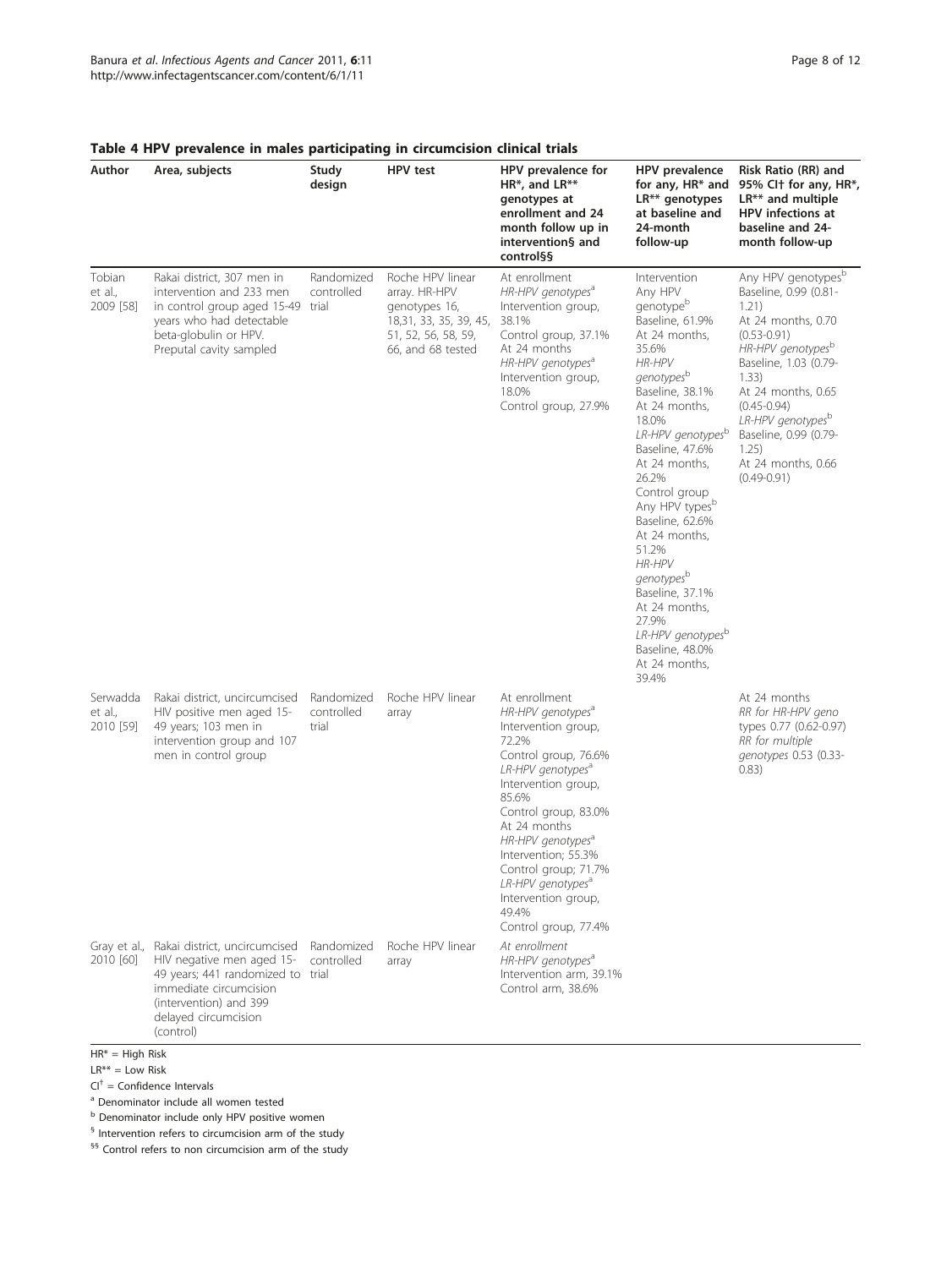| Author                           | Area, subjects                                                                                                                                                                           | Study<br>design                   | HPV test                                                                                                                 | HPV prevalence for<br>HR*, and LR**<br>genotypes at<br>enrollment and 24<br>month follow up in<br>intervention§ and<br>control§§                                                                                                                                                                                                                                                         | HPV prevalence<br>for any, HR* and<br>LR** genotypes<br>at baseline and<br>24-month<br>follow-up                                                                                                                                                                                                                                                                                                                                                                                                  | Risk Ratio (RR) and<br>95% Clt for any, HR*,<br>$LR**$ and multiple<br>HPV infections at<br>baseline and 24-<br>month follow-up                                                                                                                                                                                       |
|----------------------------------|------------------------------------------------------------------------------------------------------------------------------------------------------------------------------------------|-----------------------------------|--------------------------------------------------------------------------------------------------------------------------|------------------------------------------------------------------------------------------------------------------------------------------------------------------------------------------------------------------------------------------------------------------------------------------------------------------------------------------------------------------------------------------|---------------------------------------------------------------------------------------------------------------------------------------------------------------------------------------------------------------------------------------------------------------------------------------------------------------------------------------------------------------------------------------------------------------------------------------------------------------------------------------------------|-----------------------------------------------------------------------------------------------------------------------------------------------------------------------------------------------------------------------------------------------------------------------------------------------------------------------|
| Tobian<br>et al.,<br>2009 [58]   | Rakai district, 307 men in<br>intervention and 233 men<br>in control group aged 15-49 trial<br>years who had detectable<br>beta-globulin or HPV.<br>Preputal cavity sampled              | Randomized<br>controlled          | Roche HPV linear<br>array. HR-HPV<br>genotypes 16,<br>18,31, 33, 35, 39, 45,<br>51, 52, 56, 58, 59,<br>66, and 68 tested | At enrollment<br>HR-HPV genotypes <sup>a</sup><br>Intervention group,<br>38.1%<br>Control group, 37.1%<br>At 24 months<br>HR-HPV genotypes <sup>a</sup><br>Intervention group,<br>18.0%<br>Control group, 27.9%                                                                                                                                                                          | Intervention<br>Any HPV<br>genotypeb<br>Baseline, 61.9%<br>At 24 months,<br>35.6%<br><b>HR-HPV</b><br>genotypes <sup>b</sup><br>Baseline, 38.1%<br>At 24 months,<br>18.0%<br>LR-HPV genotypesb<br>Baseline, 47.6%<br>At 24 months,<br>26.2%<br>Control group<br>Any HPV types <sup>b</sup><br>Baseline, 62.6%<br>At 24 months,<br>51.2%<br><b>HR-HPV</b><br>genotypes <sup>b</sup><br>Baseline, 37.1%<br>At 24 months,<br>27.9%<br>LR-HPV genotypesb<br>Baseline, 48.0%<br>At 24 months,<br>39.4% | Any HPV genotypes <sup>b</sup><br>Baseline, 0.99 (0.81-<br>1.21)<br>At 24 months, 0.70<br>$(0.53 - 0.91)$<br>HR-HPV genotypes <sup>b</sup><br>Baseline, 1.03 (0.79-<br>1.33)<br>At 24 months, 0.65<br>$(0.45 - 0.94)$<br>LR-HPV genotypesb<br>Baseline, 0.99 (0.79-<br>1.25)<br>At 24 months, 0.66<br>$(0.49 - 0.91)$ |
| Serwadda<br>et al.,<br>2010 [59] | Rakai district, uncircumcised<br>HIV positive men aged 15-<br>49 years; 103 men in<br>intervention group and 107<br>men in control group                                                 | Randomized<br>controlled<br>trial | Roche HPV linear<br>array                                                                                                | At enrollment<br>HR-HPV genotypes <sup>a</sup><br>Intervention group,<br>72.2%<br>Control group, 76.6%<br>LR-HPV genotypes <sup>a</sup><br>Intervention group,<br>85.6%<br>Control group, 83.0%<br>At 24 months<br>HR-HPV genotypes <sup>a</sup><br>Intervention; 55.3%<br>Control group; 71.7%<br>LR-HPV genotypes <sup>a</sup><br>Intervention group,<br>49.4%<br>Control group, 77.4% |                                                                                                                                                                                                                                                                                                                                                                                                                                                                                                   | At 24 months<br>RR for HR-HPV geno<br>types 0.77 (0.62-0.97)<br>RR for multiple<br>genotypes 0.53 (0.33-<br>0.83)                                                                                                                                                                                                     |
| Gray et al.,<br>2010 [60]        | Rakai district, uncircumcised<br>HIV negative men aged 15-<br>49 years; 441 randomized to trial<br>immediate circumcision<br>(intervention) and 399<br>delayed circumcision<br>(control) | Randomized<br>controlled          | Roche HPV linear<br>array                                                                                                | At enrollment<br>HR-HPV genotypes <sup>a</sup><br>Intervention arm, 39.1%<br>Control arm, 38.6%                                                                                                                                                                                                                                                                                          |                                                                                                                                                                                                                                                                                                                                                                                                                                                                                                   |                                                                                                                                                                                                                                                                                                                       |

## <span id="page-7-0"></span>Table 4 HPV prevalence in males participating in circumcision clinical trials

 $HR^* = High Risk$ 

 $LR*** =$  Low Risk

 $CI<sup>†</sup>$  = Confidence Intervals

<sup>a</sup> Denominator include all women tested

 $<sup>b</sup>$  Denominator include only HPV positive women</sup>

§ Intervention refers to circumcision arm of the study

§§§ Control refers to non circumcision arm of the study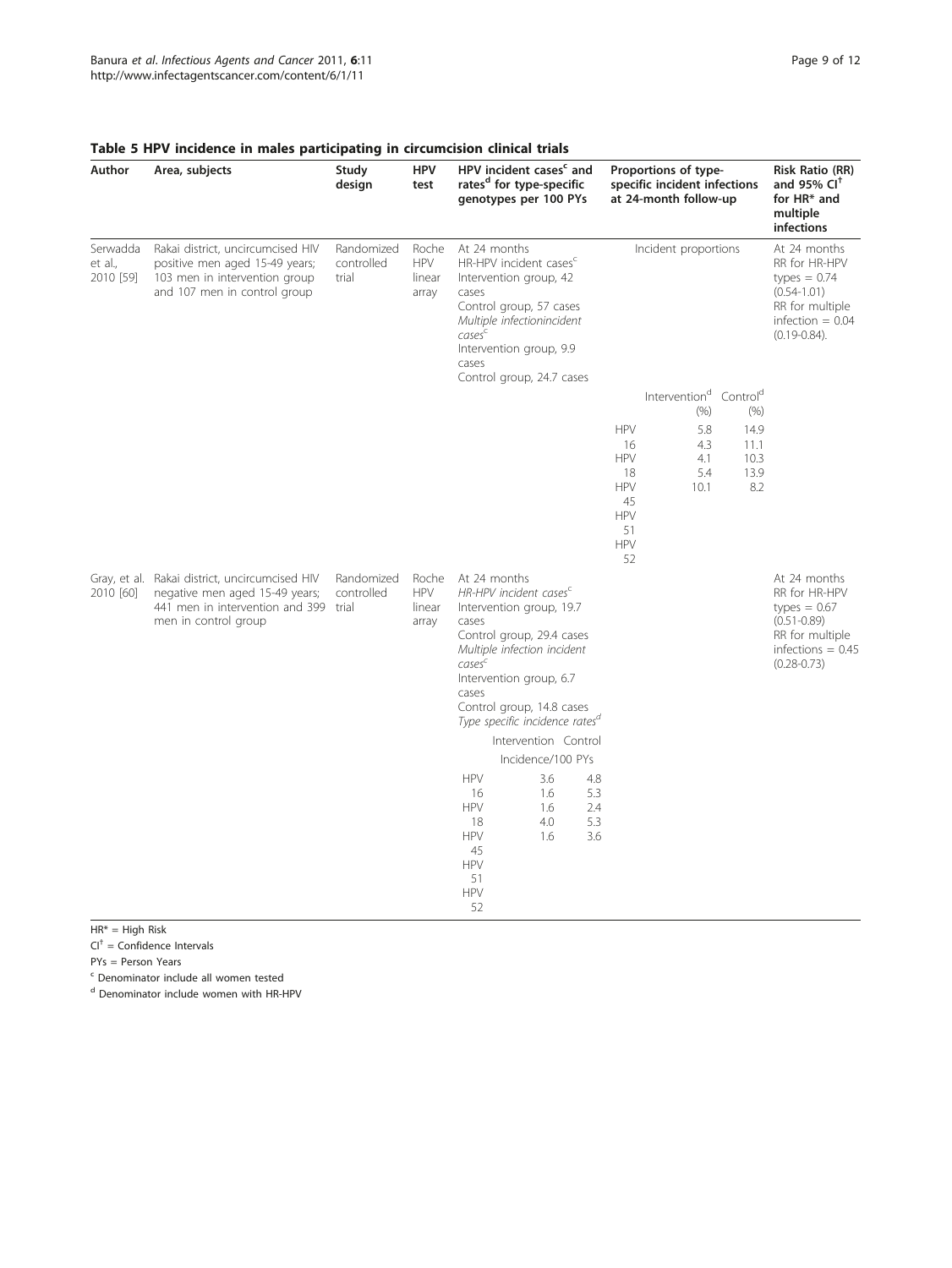| Author                           | Area, subjects                                                                                                                                    | Study<br>design                   | <b>HPV</b><br>test                     | HPV incident cases <sup>c</sup> and<br>rates <sup>d</sup> for type-specific<br>genotypes per 100 PYs                                                                                                                                                                                                                                                                                   |                                                                                                                 |                                                                | Proportions of type-<br>specific incident infections<br>at 24-month follow-up |                             | <b>Risk Ratio (RR)</b><br>and 95% $CI†$<br>for HR* and<br>multiple<br>infections                                                 |
|----------------------------------|---------------------------------------------------------------------------------------------------------------------------------------------------|-----------------------------------|----------------------------------------|----------------------------------------------------------------------------------------------------------------------------------------------------------------------------------------------------------------------------------------------------------------------------------------------------------------------------------------------------------------------------------------|-----------------------------------------------------------------------------------------------------------------|----------------------------------------------------------------|-------------------------------------------------------------------------------|-----------------------------|----------------------------------------------------------------------------------------------------------------------------------|
| Serwadda<br>et al.,<br>2010 [59] | Rakai district, uncircumcised HIV<br>positive men aged 15-49 years;<br>103 men in intervention group<br>and 107 men in control group              | Randomized<br>controlled<br>trial | Roche<br><b>HPV</b><br>linear<br>array | At 24 months<br>HR-HPV incident cases <sup>c</sup><br>Intervention group, 42<br>cases<br>Control group, 57 cases<br>Multiple infectionincident<br>cases <sup>c</sup><br>Intervention group, 9.9<br>cases<br>Control group, 24.7 cases                                                                                                                                                  |                                                                                                                 |                                                                | Incident proportions                                                          |                             | At 24 months<br>RR for HR-HPV<br>types $= 0.74$<br>$(0.54 - 1.01)$<br>RR for multiple<br>infection $= 0.04$<br>$(0.19 - 0.84)$ . |
|                                  |                                                                                                                                                   |                                   |                                        |                                                                                                                                                                                                                                                                                                                                                                                        |                                                                                                                 |                                                                | Intervention <sup>d</sup> Control <sup>d</sup>                                |                             |                                                                                                                                  |
|                                  |                                                                                                                                                   |                                   |                                        |                                                                                                                                                                                                                                                                                                                                                                                        |                                                                                                                 | <b>HPV</b>                                                     | (% )<br>5.8                                                                   | (% )<br>14.9                |                                                                                                                                  |
|                                  |                                                                                                                                                   |                                   |                                        |                                                                                                                                                                                                                                                                                                                                                                                        |                                                                                                                 | 16<br><b>HPV</b><br>18<br><b>HPV</b><br>45<br><b>HPV</b><br>51 | 4.3<br>4.1<br>5.4<br>10.1                                                     | 11.1<br>10.3<br>13.9<br>8.2 |                                                                                                                                  |
|                                  |                                                                                                                                                   |                                   |                                        |                                                                                                                                                                                                                                                                                                                                                                                        |                                                                                                                 | <b>HPV</b><br>52                                               |                                                                               |                             |                                                                                                                                  |
| 2010 [60]                        | Gray, et al. Rakai district, uncircumcised HIV<br>negative men aged 15-49 years;<br>441 men in intervention and 399 trial<br>men in control group | Randomized<br>controlled          | Roche<br><b>HPV</b><br>linear<br>array | At 24 months<br>HR-HPV incident cases <sup>c</sup><br>Intervention group, 19.7<br>cases<br>Control group, 29.4 cases<br>Multiple infection incident<br>cases <sup>c</sup><br>Intervention group, 6.7<br>cases<br>Control group, 14.8 cases<br>Type specific incidence rates <sup>a</sup><br><b>HPV</b><br>16<br><b>HPV</b><br>18<br><b>HPV</b><br>45<br><b>HPV</b><br>51<br><b>HPV</b> | Intervention Control<br>Incidence/100 PYs<br>3.6<br>4.8<br>1.6<br>5.3<br>2.4<br>1.6<br>4.0<br>5.3<br>3.6<br>1.6 |                                                                |                                                                               |                             | At 24 months<br>RR for HR-HPV<br>types $= 0.67$<br>$(0.51 - 0.89)$<br>RR for multiple<br>infections = $0.45$<br>$(0.28 - 0.73)$  |

# <span id="page-8-0"></span>Table 5 HPV incidence in males participating in circumcision clinical trials

HR\* = High Risk

 $Cl<sup>†</sup>$  = Confidence Intervals

PYs = Person Years

<sup>c</sup> Denominator include all women tested

<sup>d</sup> Denominator include women with HR-HPV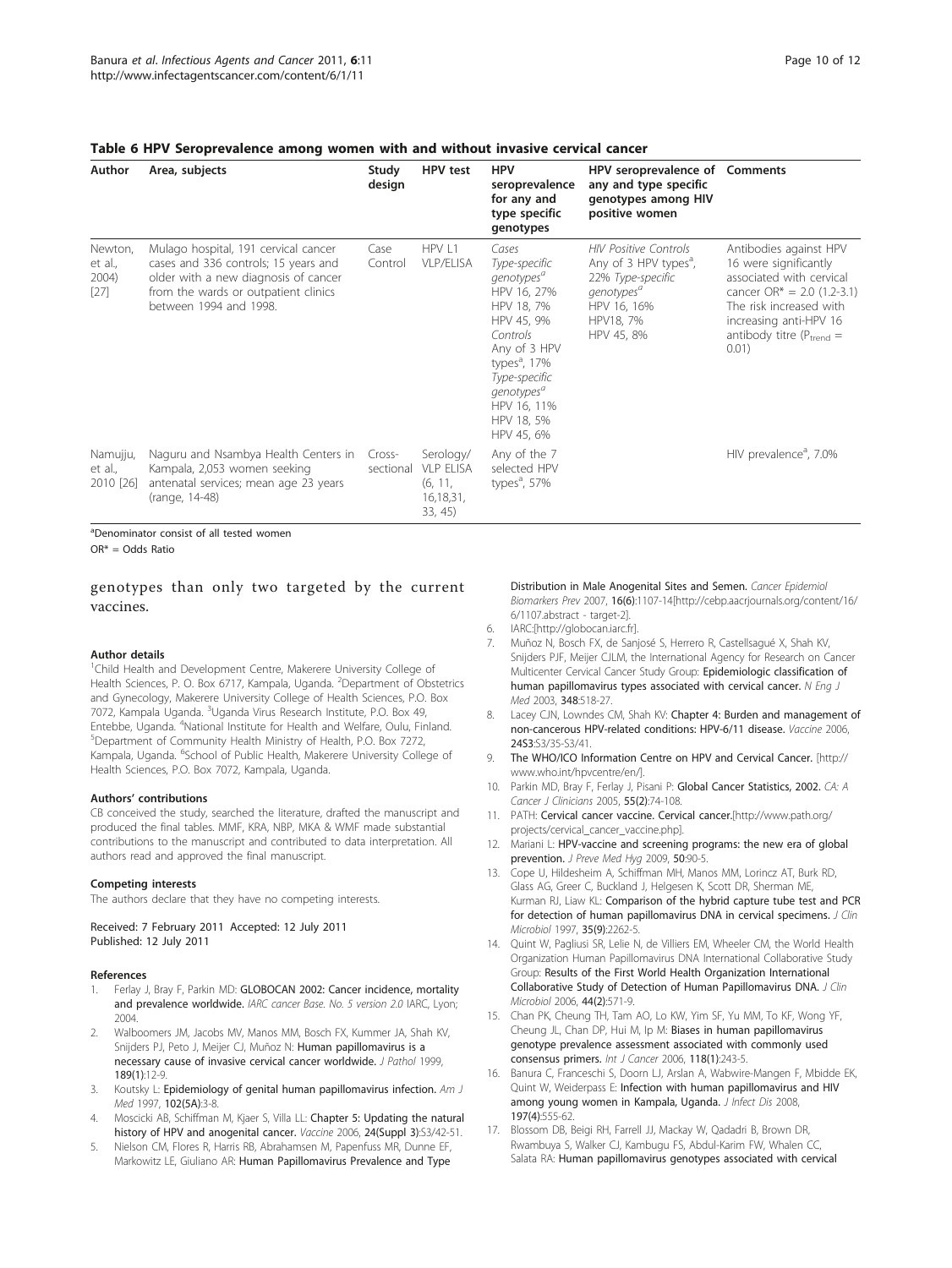<span id="page-9-0"></span>

| Author                                | Area, subjects                                                                                                                                                                         | Study<br>design     | HPV test                                                         | <b>HPV</b><br>seroprevalence<br>for any and<br>type specific<br>genotypes                                                                                                                                                                 | HPV seroprevalence of Comments<br>any and type specific<br>genotypes among HIV<br>positive women                                                           |                                                                                                                                                                                                              |
|---------------------------------------|----------------------------------------------------------------------------------------------------------------------------------------------------------------------------------------|---------------------|------------------------------------------------------------------|-------------------------------------------------------------------------------------------------------------------------------------------------------------------------------------------------------------------------------------------|------------------------------------------------------------------------------------------------------------------------------------------------------------|--------------------------------------------------------------------------------------------------------------------------------------------------------------------------------------------------------------|
| Newton,<br>et al.,<br>2004)<br>$[27]$ | Mulago hospital, 191 cervical cancer<br>cases and 336 controls; 15 years and<br>older with a new diagnosis of cancer<br>from the wards or outpatient clinics<br>between 1994 and 1998. | Case<br>Control     | HPV L1<br><b>VLP/ELISA</b>                                       | Cases<br>Type-specific<br>genotypes <sup>a</sup><br>HPV 16, 27%<br>HPV 18, 7%<br>HPV 45, 9%<br>Controls<br>Any of 3 HPV<br>types <sup>a</sup> , 17%<br>Type-specific<br>genotypes <sup>a</sup><br>HPV 16, 11%<br>HPV 18, 5%<br>HPV 45, 6% | <b>HIV Positive Controls</b><br>Any of 3 HPV types <sup>a</sup> ,<br>22% Type-specific<br>genotypes <sup>a</sup><br>HPV 16, 16%<br>HPV18, 7%<br>HPV 45, 8% | Antibodies against HPV<br>16 were significantly<br>associated with cervical<br>cancer $OR^* = 2.0$ (1.2-3.1)<br>The risk increased with<br>increasing anti-HPV 16<br>antibody titre ( $P_{trend}$ =<br>0.01) |
| Namujju,<br>et al.,<br>2010 [26]      | Naguru and Nsambya Health Centers in<br>Kampala, 2,053 women seeking<br>antenatal services; mean age 23 years<br>(range, 14-48)                                                        | Cross-<br>sectional | Serology/<br><b>VLP ELISA</b><br>(6, 11,<br>16,18,31,<br>33, 45) | Any of the 7<br>selected HPV<br>types $a$ , 57%                                                                                                                                                                                           |                                                                                                                                                            | HIV prevalence <sup>a</sup> , 7.0%                                                                                                                                                                           |

a Denominator consist of all tested women

OR\* = Odds Ratio

# genotypes than only two targeted by the current vaccines.

#### Author details

<sup>1</sup>Child Health and Development Centre, Makerere University College of Health Sciences, P. O. Box 6717, Kampala, Uganda. <sup>2</sup>Department of Obstetrics and Gynecology, Makerere University College of Health Sciences, P.O. Box 7072, Kampala Uganda. <sup>3</sup>Uganda Virus Research Institute, P.O. Box 49, Entebbe, Uganda. <sup>4</sup>National Institute for Health and Welfare, Oulu, Finland.<br><sup>5</sup>Department of Community Health Ministry of Health, P.O. Box 7272. Department of Community Health Ministry of Health, P.O. Box 7272, Kampala, Uganda. <sup>6</sup>School of Public Health, Makerere University College of Health Sciences, P.O. Box 7072, Kampala, Uganda.

#### Authors' contributions

CB conceived the study, searched the literature, drafted the manuscript and produced the final tables. MMF, KRA, NBP, MKA & WMF made substantial contributions to the manuscript and contributed to data interpretation. All authors read and approved the final manuscript.

#### Competing interests

The authors declare that they have no competing interests.

Received: 7 February 2011 Accepted: 12 July 2011

Published: 12 July 2011

#### References

- 1. Ferlay J, Bray F, Parkin MD: GLOBOCAN 2002: Cancer incidence, mortality and prevalence worldwide. IARC cancer Base. No. 5 version 2.0 IARC, Lyon; 2004.
- 2. Walboomers JM, Jacobs MV, Manos MM, Bosch FX, Kummer JA, Shah KV, Snijders PJ, Peto J, Meijer CJ, Muñoz N: [Human papillomavirus is a](http://www.ncbi.nlm.nih.gov/pubmed/10451482?dopt=Abstract) [necessary cause of invasive cervical cancer worldwide.](http://www.ncbi.nlm.nih.gov/pubmed/10451482?dopt=Abstract) J Pathol 1999, 189(1):12-9.
- 3. Koutsky L: [Epidemiology of genital human papillomavirus infection.](http://www.ncbi.nlm.nih.gov/pubmed/9217656?dopt=Abstract) Am J Med 1997, 102(5A):3-8.
- 4. Moscicki AB, Schiffman M, Kjaer S, Villa LL: Chapter 5: Updating the natural history of HPV and anogenital cancer. Vaccine 2006, 24(Suppl 3):S3/42-51.
- 5. Nielson CM, Flores R, Harris RB, Abrahamsen M, Papenfuss MR, Dunne EF, Markowitz LE, Giuliano AR: [Human Papillomavirus Prevalence and Type](http://www.ncbi.nlm.nih.gov/pubmed/17548671?dopt=Abstract)

[Distribution in Male Anogenital Sites and Semen.](http://www.ncbi.nlm.nih.gov/pubmed/17548671?dopt=Abstract) Cancer Epidemiol Biomarkers Prev 2007, 16(6):1107-14[[http://cebp.aacrjournals.org/content/16/](http://cebp.aacrjournals.org/content/16/6/1107.abstract - target-2) [6/1107.abstract - target-2\]](http://cebp.aacrjournals.org/content/16/6/1107.abstract - target-2).

- 6. IARC:[[http://globocan.iarc.fr\]](http://globocan.iarc.fr).
- 7. Muñoz N, Bosch FX, de Sanjosé S, Herrero R, Castellsagué X, Shah KV, Snijders PJF, Meijer CJLM, the International Agency for Research on Cancer Multicenter Cervical Cancer Study Group: Epidemiologic classification of human papillomavirus types associated with cervical cancer. N Eng J Med 2003, 348:518-27.
- 8. Lacey CJN, Lowndes CM, Shah KV: Chapter 4: Burden and management of non-cancerous HPV-related conditions: HPV-6/11 disease. Vaccine 2006, 24S3:S3/35-S3/41.
- 9. The WHO/ICO Information Centre on HPV and Cervical Cancer. [[http://](http://www.who.int/hpvcentre/en/) [www.who.int/hpvcentre/en/\]](http://www.who.int/hpvcentre/en/).
- 10. Parkin MD, Bray F, Ferlay J, Pisani P: Global Cancer Statistics, 2002. CA: A Cancer J Clinicians 2005, 55(2):74-108.
- 11. PATH: Cervical cancer vaccine. Cervical cancer.[\[http://www.path.org/](http://www.path.org/projects/cervical_cancer_vaccine.php) [projects/cervical\\_cancer\\_vaccine.php](http://www.path.org/projects/cervical_cancer_vaccine.php)].
- 12. Mariani L: HPV-vaccine and screening programs: the new era of global prevention. J Preve Med Hyg 2009, 50:90-5.
- 13. Cope U, Hildesheim A, Schiffman MH, Manos MM, Lorincz AT, Burk RD, Glass AG, Greer C, Buckland J, Helgesen K, Scott DR, Sherman ME, Kurman RJ, Liaw KL: [Comparison of the hybrid capture tube test and PCR](http://www.ncbi.nlm.nih.gov/pubmed/9276398?dopt=Abstract) [for detection of human papillomavirus DNA in cervical specimens.](http://www.ncbi.nlm.nih.gov/pubmed/9276398?dopt=Abstract) J Clin Microbiol 1997, 35(9):2262-5.
- 14. Quint W, Pagliusi SR, Lelie N, de Villiers EM, Wheeler CM, the World Health Organization Human Papillomavirus DNA International Collaborative Study Group: [Results of the First World Health Organization International](http://www.ncbi.nlm.nih.gov/pubmed/16455914?dopt=Abstract) [Collaborative Study of Detection of Human Papillomavirus DNA.](http://www.ncbi.nlm.nih.gov/pubmed/16455914?dopt=Abstract) J Clin Microbiol 2006, 44(2):571-9.
- 15. Chan PK, Cheung TH, Tam AO, Lo KW, Yim SF, Yu MM, To KF, Wong YF, Cheung JL, Chan DP, Hui M, Ip M: [Biases in human papillomavirus](http://www.ncbi.nlm.nih.gov/pubmed/16032705?dopt=Abstract) [genotype prevalence assessment associated with commonly used](http://www.ncbi.nlm.nih.gov/pubmed/16032705?dopt=Abstract) [consensus primers.](http://www.ncbi.nlm.nih.gov/pubmed/16032705?dopt=Abstract) Int J Cancer 2006, 118(1):243-5.
- 16. Banura C, Franceschi S, Doorn LJ, Arslan A, Wabwire-Mangen F, Mbidde EK, Quint W, Weiderpass E: [Infection with human papillomavirus and HIV](http://www.ncbi.nlm.nih.gov/pubmed/18237268?dopt=Abstract) [among young women in Kampala, Uganda.](http://www.ncbi.nlm.nih.gov/pubmed/18237268?dopt=Abstract) J Infect Dis 2008, 197(4):555-62.
- 17. Blossom DB, Beigi RH, Farrell JJ, Mackay W, Qadadri B, Brown DR, Rwambuya S, Walker CJ, Kambugu FS, Abdul-Karim FW, Whalen CC, Salata RA: [Human papillomavirus genotypes associated with cervical](http://www.ncbi.nlm.nih.gov/pubmed/17457908?dopt=Abstract)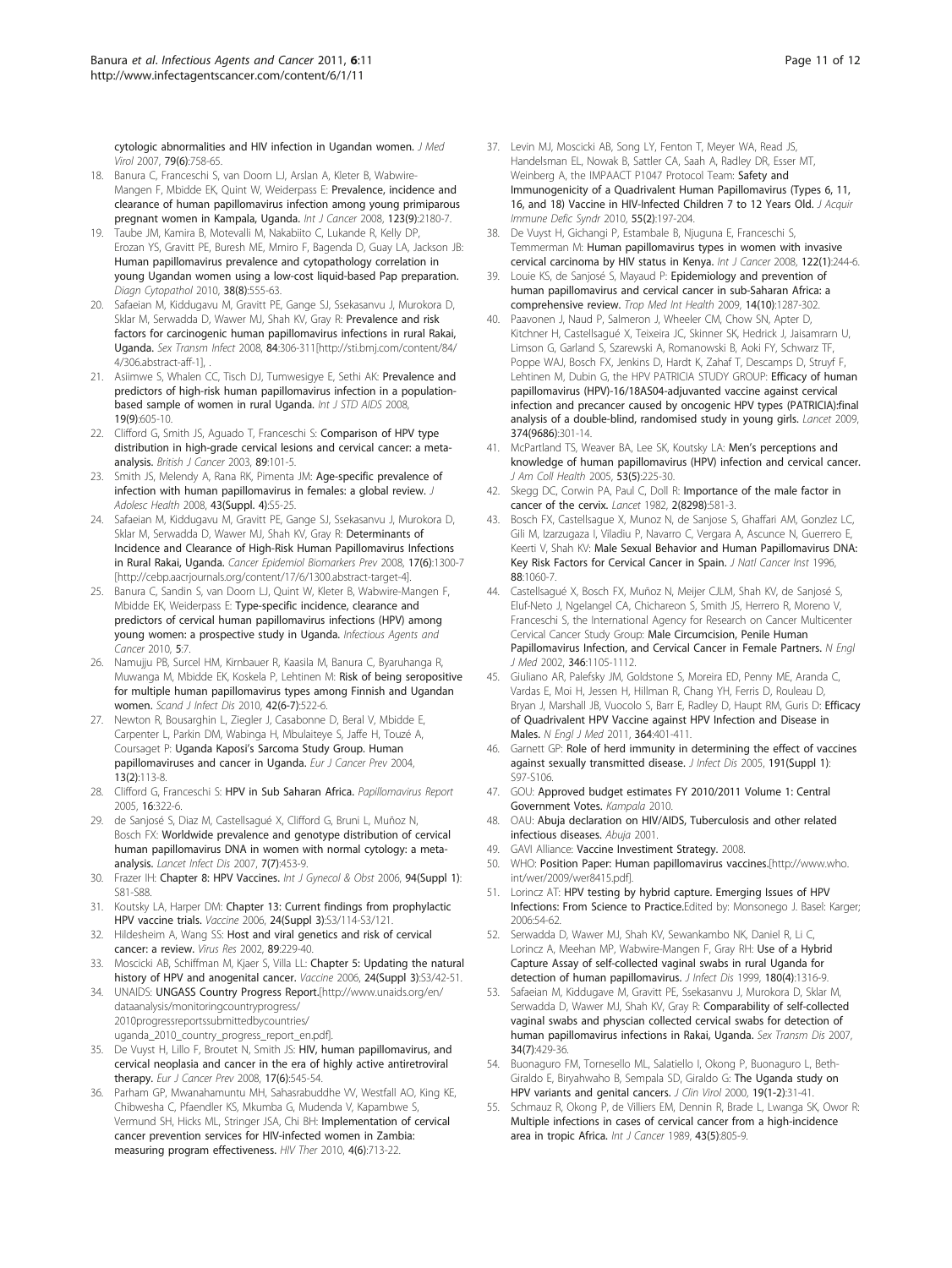<span id="page-10-0"></span>[cytologic abnormalities and HIV infection in Ugandan women.](http://www.ncbi.nlm.nih.gov/pubmed/17457908?dopt=Abstract) J Med Virol 2007, 79(6):758-65.

- 18. Banura C, Franceschi S, van Doorn LJ, Arslan A, Kleter B, Wabwire-Mangen F, Mbidde EK, Quint W, Weiderpass E: [Prevalence, incidence and](http://www.ncbi.nlm.nih.gov/pubmed/18711697?dopt=Abstract) [clearance of human papillomavirus infection among young primiparous](http://www.ncbi.nlm.nih.gov/pubmed/18711697?dopt=Abstract) [pregnant women in Kampala, Uganda.](http://www.ncbi.nlm.nih.gov/pubmed/18711697?dopt=Abstract) Int J Cancer 2008, 123(9):2180-7.
- 19. Taube JM, Kamira B, Motevalli M, Nakabiito C, Lukande R, Kelly DP, Erozan YS, Gravitt PE, Buresh ME, Mmiro F, Bagenda D, Guay LA, Jackson JB: [Human papillomavirus prevalence and cytopathology correlation in](http://www.ncbi.nlm.nih.gov/pubmed/19937939?dopt=Abstract) [young Ugandan women using a low-cost liquid-based Pap preparation.](http://www.ncbi.nlm.nih.gov/pubmed/19937939?dopt=Abstract) Diagn Cytopathol 2010, 38(8):555-63.
- 20. Safaeian M, Kiddugavu M, Gravitt PE, Gange SJ, Ssekasanvu J, Murokora D, Sklar M, Serwadda D, Wawer MJ, Shah KV, Gray R: [Prevalence and risk](http://www.ncbi.nlm.nih.gov/pubmed/18385223?dopt=Abstract) [factors for carcinogenic human papillomavirus infections in rural Rakai,](http://www.ncbi.nlm.nih.gov/pubmed/18385223?dopt=Abstract) [Uganda.](http://www.ncbi.nlm.nih.gov/pubmed/18385223?dopt=Abstract) Sex Transm Infect 2008, 84:306-311[[http://sti.bmj.com/content/84/](http://sti.bmj.com/content/84/4/306.abstract-aff-1) [4/306.abstract-aff-1\]](http://sti.bmj.com/content/84/4/306.abstract-aff-1), .
- 21. Asiimwe S, Whalen CC, Tisch DJ, Tumwesigye E, Sethi AK: [Prevalence and](http://www.ncbi.nlm.nih.gov/pubmed/18725551?dopt=Abstract) [predictors of high-risk human papillomavirus infection in a population](http://www.ncbi.nlm.nih.gov/pubmed/18725551?dopt=Abstract)[based sample of women in rural Uganda.](http://www.ncbi.nlm.nih.gov/pubmed/18725551?dopt=Abstract) Int J STD AIDS 2008, 19(9):605-10.
- 22. Clifford G, Smith JS, Aguado T, Franceschi S: Comparison of HPV type distribution in high-grade cervical lesions and cervical cancer: a metaanalysis. British J Cancer 2003, 89:101-5.
- 23. Smith JS, Melendy A, Rana RK, Pimenta JM: [Age-specific prevalence of](http://www.ncbi.nlm.nih.gov/pubmed/18809145?dopt=Abstract) [infection with human papillomavirus in females: a global review.](http://www.ncbi.nlm.nih.gov/pubmed/18809145?dopt=Abstract) J Adolesc Health 2008, 43(Suppl. 4):S5-25.
- 24. Safaeian M, Kiddugavu M, Gravitt PE, Gange SJ, Ssekasanvu J, Murokora D, Sklar M. Serwadda D, Wawer MJ, Shah KV, Gray R: [Determinants of](http://www.ncbi.nlm.nih.gov/pubmed/18559545?dopt=Abstract) [Incidence and Clearance of High-Risk Human Papillomavirus Infections](http://www.ncbi.nlm.nih.gov/pubmed/18559545?dopt=Abstract) [in Rural Rakai, Uganda.](http://www.ncbi.nlm.nih.gov/pubmed/18559545?dopt=Abstract) Cancer Epidemiol Biomarkers Prev 2008, 17(6):1300-7 [\[http://cebp.aacrjournals.org/content/17/6/1300.abstract-target-4\]](http://cebp.aacrjournals.org/content/17/6/1300.abstract-target-4).
- 25. Banura C, Sandin S, van Doorn LJ, Quint W, Kleter B, Wabwire-Mangen F, Mbidde EK, Weiderpass E: [Type-specific incidence, clearance and](http://www.ncbi.nlm.nih.gov/pubmed/20380709?dopt=Abstract) [predictors of cervical human papillomavirus infections \(HPV\) among](http://www.ncbi.nlm.nih.gov/pubmed/20380709?dopt=Abstract) [young women: a prospective study in Uganda.](http://www.ncbi.nlm.nih.gov/pubmed/20380709?dopt=Abstract) Infectious Agents and Cancer 2010, 5:7.
- 26. Namujju PB, Surcel HM, Kirnbauer R, Kaasila M, Banura C, Byaruhanga R, Muwanga M, Mbidde EK, Koskela P, Lehtinen M: [Risk of being seropositive](http://www.ncbi.nlm.nih.gov/pubmed/20180681?dopt=Abstract) [for multiple human papillomavirus types among Finnish and Ugandan](http://www.ncbi.nlm.nih.gov/pubmed/20180681?dopt=Abstract) [women.](http://www.ncbi.nlm.nih.gov/pubmed/20180681?dopt=Abstract) Scand J Infect Dis 2010, 42(6-7):522-6.
- 27. Newton R, Bousarghin L, Ziegler J, Casabonne D, Beral V, Mbidde E, Carpenter L, Parkin DM, Wabinga H, Mbulaiteye S, Jaffe H, Touzé A, Coursaget P: Uganda Kaposi'[s Sarcoma Study Group. Human](http://www.ncbi.nlm.nih.gov/pubmed/15100577?dopt=Abstract) [papillomaviruses and cancer in Uganda.](http://www.ncbi.nlm.nih.gov/pubmed/15100577?dopt=Abstract) Eur J Cancer Prev 2004, 13(2):113-8.
- 28. Clifford G, Franceschi S: HPV in Sub Saharan Africa. Papillomavirus Report 2005, 16:322-6.
- 29. de Sanjosé S, Diaz M, Castellsagué X, Clifford G, Bruni L, Muñoz N, Bosch FX: [Worldwide prevalence and genotype distribution of cervical](http://www.ncbi.nlm.nih.gov/pubmed/17597569?dopt=Abstract) [human papillomavirus DNA in women with normal cytology: a meta](http://www.ncbi.nlm.nih.gov/pubmed/17597569?dopt=Abstract)[analysis.](http://www.ncbi.nlm.nih.gov/pubmed/17597569?dopt=Abstract) Lancet Infect Dis 2007, 7(7):453-9.
- 30. Frazer IH: Chapter 8: HPV Vaccines. Int J Gynecol & Obst 2006, 94(Suppl 1): S81-S88.
- 31. Koutsky LA, Harper DM: Chapter 13: Current findings from prophylactic HPV vaccine trials. Vaccine 2006, 24(Suppl 3):S3/114-S3/121.
- 32. Hildesheim A, Wang SS: [Host and viral genetics and risk of cervical](http://www.ncbi.nlm.nih.gov/pubmed/12445662?dopt=Abstract) [cancer: a review.](http://www.ncbi.nlm.nih.gov/pubmed/12445662?dopt=Abstract) Virus Res 2002, 89:229-40.
- 33. Moscicki AB, Schiffman M, Kjaer S, Villa LL: Chapter 5: Updating the natural history of HPV and anogenital cancer. Vaccine 2006, 24(Suppl 3):S3/42-51.
- 34. UNAIDS: UNGASS Country Progress Report.[[http://www.unaids.org/en/](http://www.unaids.org/en/dataanalysis/monitoringcountryprogress/2010progressreportssubmittedbycountries/uganda_2010_country_progress_report_en.pdf) [dataanalysis/monitoringcountryprogress/](http://www.unaids.org/en/dataanalysis/monitoringcountryprogress/2010progressreportssubmittedbycountries/uganda_2010_country_progress_report_en.pdf) [2010progressreportssubmittedbycountries/](http://www.unaids.org/en/dataanalysis/monitoringcountryprogress/2010progressreportssubmittedbycountries/uganda_2010_country_progress_report_en.pdf) [uganda\\_2010\\_country\\_progress\\_report\\_en.pdf](http://www.unaids.org/en/dataanalysis/monitoringcountryprogress/2010progressreportssubmittedbycountries/uganda_2010_country_progress_report_en.pdf)].
- 35. De Vuyst H, Lillo F, Broutet N, Smith JS: [HIV, human papillomavirus, and](http://www.ncbi.nlm.nih.gov/pubmed/18941376?dopt=Abstract) [cervical neoplasia and cancer in the era of highly active antiretroviral](http://www.ncbi.nlm.nih.gov/pubmed/18941376?dopt=Abstract) [therapy.](http://www.ncbi.nlm.nih.gov/pubmed/18941376?dopt=Abstract) Eur J Cancer Prev 2008, 17(6):545-54.
- 36. Parham GP, Mwanahamuntu MH, Sahasrabuddhe VV, Westfall AO, King KE, Chibwesha C, Pfaendler KS, Mkumba G, Mudenda V, Kapambwe S, Vermund SH, Hicks ML, Stringer JSA, Chi BH: Implementation of cervical cancer prevention services for HIV-infected women in Zambia: measuring program effectiveness. HIV Ther 2010, 4(6):713-22.
- 37. Levin MJ, Moscicki AB, Song LY, Fenton T, Meyer WA, Read JS, Handelsman EL, Nowak B, Sattler CA, Saah A, Radley DR, Esser MT, Weinberg A, the IMPAACT P1047 Protocol Team: [Safety and](http://www.ncbi.nlm.nih.gov/pubmed/20574412?dopt=Abstract) [Immunogenicity of a Quadrivalent Human Papillomavirus \(Types 6, 11,](http://www.ncbi.nlm.nih.gov/pubmed/20574412?dopt=Abstract) 16. and 18) Vaccine in HIV-Infected Children 7 to 12 Years Old. J Acquir Immune Defic Syndr 2010, 55(2):197-204.
- 38. De Vuyst H, Gichangi P, Estambale B, Njuguna E, Franceschi S, Temmerman M: [Human papillomavirus types in women with invasive](http://www.ncbi.nlm.nih.gov/pubmed/17764116?dopt=Abstract) [cervical carcinoma by HIV status in Kenya.](http://www.ncbi.nlm.nih.gov/pubmed/17764116?dopt=Abstract) Int J Cancer 2008, 122(1):244-6.
- 39. Louie KS, de Sanjosé S, Mayaud P: [Epidemiology and prevention of](http://www.ncbi.nlm.nih.gov/pubmed/19772550?dopt=Abstract) [human papillomavirus and cervical cancer in sub-Saharan Africa: a](http://www.ncbi.nlm.nih.gov/pubmed/19772550?dopt=Abstract) [comprehensive review.](http://www.ncbi.nlm.nih.gov/pubmed/19772550?dopt=Abstract) Trop Med Int Health 2009, 14(10):1287-302.
- 40. Paavonen J, Naud P, Salmeron J, Wheeler CM, Chow SN, Apter D, Kitchner H, Castellsagué X, Teixeira JC, Skinner SK, Hedrick J, Jaisamrarn U, Limson G, Garland S, Szarewski A, Romanowski B, Aoki FY, Schwarz TF, Poppe WAJ, Bosch FX, Jenkins D, Hardt K, Zahaf T, Descamps D, Struyf F, Lehtinen M, Dubin G, the HPV PATRICIA STUDY GROUP: [Efficacy of human](http://www.ncbi.nlm.nih.gov/pubmed/19586656?dopt=Abstract) [papillomavirus \(HPV\)-16/18AS04-adjuvanted vaccine against cervical](http://www.ncbi.nlm.nih.gov/pubmed/19586656?dopt=Abstract) [infection and precancer caused by oncogenic HPV types \(PATRICIA\):final](http://www.ncbi.nlm.nih.gov/pubmed/19586656?dopt=Abstract) [analysis of a double-blind, randomised study in young girls.](http://www.ncbi.nlm.nih.gov/pubmed/19586656?dopt=Abstract) Lancet 2009, 374(9686):301-14.
- 41. McPartland TS, Weaver BA, Lee SK, Koutsky LA: Men'[s perceptions and](http://www.ncbi.nlm.nih.gov/pubmed/15813233?dopt=Abstract) [knowledge of human papillomavirus \(HPV\) infection and cervical cancer.](http://www.ncbi.nlm.nih.gov/pubmed/15813233?dopt=Abstract) J Am Coll Health 2005, 53(5):225-30.
- 42. Skegg DC, Corwin PA, Paul C, Doll R: [Importance of the male factor in](http://www.ncbi.nlm.nih.gov/pubmed/6125731?dopt=Abstract) [cancer of the cervix.](http://www.ncbi.nlm.nih.gov/pubmed/6125731?dopt=Abstract) Lancet 1982, 2(8298):581-3.
- 43. Bosch FX, Castellsague X, Munoz N, de Sanjose S, Ghaffari AM, Gonzlez LC, Gili M, Izarzugaza I, Viladiu P, Navarro C, Vergara A, Ascunce N, Guerrero E, Keerti V, Shah KV: Male [Sexual Behavior and Human Papillomavirus DNA:](http://www.ncbi.nlm.nih.gov/pubmed/8683637?dopt=Abstract) [Key Risk Factors for Cervical Cancer in Spain.](http://www.ncbi.nlm.nih.gov/pubmed/8683637?dopt=Abstract) J Natl Cancer Inst 1996, 88:1060-7.
- Castellsagué X, Bosch FX, Muñoz N, Meijer CJLM, Shah KV, de Sanjosé S, Eluf-Neto J, Ngelangel CA, Chichareon S, Smith JS, Herrero R, Moreno V, Franceschi S, the International Agency for Research on Cancer Multicenter Cervical Cancer Study Group: [Male Circumcision, Penile Human](http://www.ncbi.nlm.nih.gov/pubmed/11948269?dopt=Abstract) [Papillomavirus Infection, and Cervical Cancer in Female Partners.](http://www.ncbi.nlm.nih.gov/pubmed/11948269?dopt=Abstract) N Engl J Med 2002, 346:1105-1112.
- 45. Giuliano AR, Palefsky JM, Goldstone S, Moreira ED, Penny ME, Aranda C, Vardas E, Moi H, Jessen H, Hillman R, Chang YH, Ferris D, Rouleau D, Bryan J, Marshall JB, Vuocolo S, Barr E, Radley D, Haupt RM, Guris D: [Efficacy](http://www.ncbi.nlm.nih.gov/pubmed/21288094?dopt=Abstract) [of Quadrivalent HPV Vaccine against HPV Infection and Disease in](http://www.ncbi.nlm.nih.gov/pubmed/21288094?dopt=Abstract) [Males.](http://www.ncbi.nlm.nih.gov/pubmed/21288094?dopt=Abstract) N Engl J Med 2011, 364:401-411.
- 46. Garnett GP: [Role of herd immunity in determining the effect of vaccines](http://www.ncbi.nlm.nih.gov/pubmed/15627236?dopt=Abstract) [against sexually transmitted disease.](http://www.ncbi.nlm.nih.gov/pubmed/15627236?dopt=Abstract) J Infect Dis 2005, 191(Suppl 1): S97-S106.
- 47. GOU: Approved budget estimates FY 2010/2011 Volume 1: Central Government Votes. Kampala 2010.
- 48. OAU: Abuja declaration on HIV/AIDS, Tuberculosis and other related infectious diseases. Abuja 2001.
- 49. GAVI Alliance: Vaccine Investiment Strategy. 2008.
- 50. WHO: Position Paper: Human papillomavirus vaccines.[\[http://www.who.](http://www.who.int/wer/2009/wer8415.pdf) [int/wer/2009/wer8415.pdf](http://www.who.int/wer/2009/wer8415.pdf)].
- 51. Lorincz AT: HPV testing by hybrid capture. Emerging Issues of HPV Infections: From Science to Practice.Edited by: Monsonego J. Basel: Karger; 2006:54-62.
- 52. Serwadda D, Wawer MJ, Shah KV, Sewankambo NK, Daniel R, Li C, Lorincz A, Meehan MP, Wabwire-Mangen F, Gray RH: [Use of a Hybrid](http://www.ncbi.nlm.nih.gov/pubmed/10479163?dopt=Abstract) [Capture Assay of self-collected vaginal swabs in rural Uganda for](http://www.ncbi.nlm.nih.gov/pubmed/10479163?dopt=Abstract) [detection of human papillomavirus.](http://www.ncbi.nlm.nih.gov/pubmed/10479163?dopt=Abstract) J Infect Dis 1999, 180(4):1316-9.
- 53. Safaeian M, Kiddugave M, Gravitt PE, Ssekasanvu J, Murokora D, Sklar M, Serwadda D, Wawer MJ, Shah KV, Gray R: [Comparability of self-collected](http://www.ncbi.nlm.nih.gov/pubmed/17075437?dopt=Abstract) [vaginal swabs and physcian collected cervical swabs for detection of](http://www.ncbi.nlm.nih.gov/pubmed/17075437?dopt=Abstract) [human papillomavirus infections in Rakai, Uganda.](http://www.ncbi.nlm.nih.gov/pubmed/17075437?dopt=Abstract) Sex Transm Dis 2007, 34(7):429-36.
- 54. Buonaguro FM, Tornesello ML, Salatiello I, Okong P, Buonaguro L, Beth-Giraldo E, Biryahwaho B, Sempala SD, Giraldo G: [The Uganda study on](http://www.ncbi.nlm.nih.gov/pubmed/11091146?dopt=Abstract) [HPV variants and genital cancers.](http://www.ncbi.nlm.nih.gov/pubmed/11091146?dopt=Abstract) J Clin Virol 2000, 19(1-2):31-41.
- Schmauz R, Okong P, de Villiers EM, Dennin R, Brade L, Lwanga SK, Owor R: [Multiple infections in cases of cervical cancer from a high-incidence](http://www.ncbi.nlm.nih.gov/pubmed/2714885?dopt=Abstract) [area in tropic Africa.](http://www.ncbi.nlm.nih.gov/pubmed/2714885?dopt=Abstract) Int J Cancer 1989, 43(5):805-9.